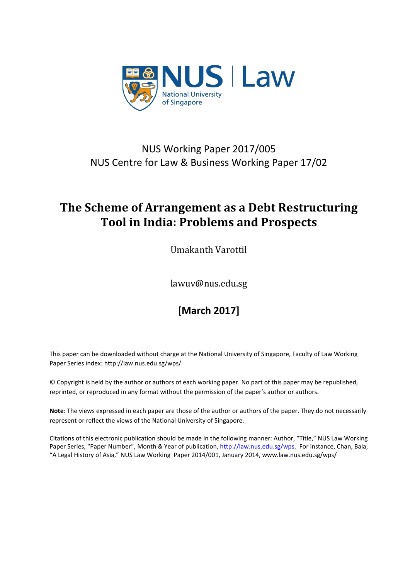

## NUS Working Paper 2017/005 NUS Centre for Law & Business Working Paper 17/02

## **The Scheme of Arrangement as a Debt Restructuring Tool in India: Problems and Prospects**

Umakanth Varottil

lawuv@nus.edu.sg

# **[March 2017]**

This paper can be downloaded without charge at the National University of Singapore, Faculty of Law Working Paper Series index: http://law.nus.edu.sg/wps/

© Copyright is held by the author or authors of each working paper. No part of this paper may be republished, reprinted, or reproduced in any format without the permission of the paper's author or authors.

**Note**: The views expressed in each paper are those of the author or authors of the paper. They do not necessarily represent or reflect the views of the National University of Singapore.

Citations of this electronic publication should be made in the following manner: Author, "Title," NUS Law Working Paper Series, "Paper Number", Month & Year of publication[, http://law.nus.edu.sg/wps.](http://law.nus.edu.sg/wps) For instance, Chan, Bala, "A Legal History of Asia," NUS Law Working Paper 2014/001, January 2014, www.law.nus.edu.sg/wps/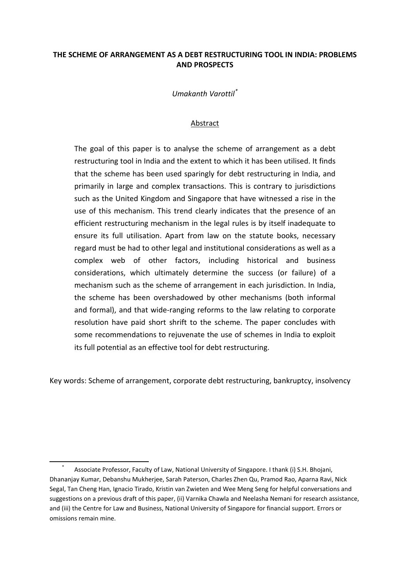## **THE SCHEME OF ARRANGEMENT AS A DEBT RESTRUCTURING TOOL IN INDIA: PROBLEMS AND PROSPECTS**

*Umakanth Varottil[\\*](#page-1-0)*

### Abstract

The goal of this paper is to analyse the scheme of arrangement as a debt restructuring tool in India and the extent to which it has been utilised. It finds that the scheme has been used sparingly for debt restructuring in India, and primarily in large and complex transactions. This is contrary to jurisdictions such as the United Kingdom and Singapore that have witnessed a rise in the use of this mechanism. This trend clearly indicates that the presence of an efficient restructuring mechanism in the legal rules is by itself inadequate to ensure its full utilisation. Apart from law on the statute books, necessary regard must be had to other legal and institutional considerations as well as a complex web of other factors, including historical and business considerations, which ultimately determine the success (or failure) of a mechanism such as the scheme of arrangement in each jurisdiction. In India, the scheme has been overshadowed by other mechanisms (both informal and formal), and that wide-ranging reforms to the law relating to corporate resolution have paid short shrift to the scheme. The paper concludes with some recommendations to rejuvenate the use of schemes in India to exploit its full potential as an effective tool for debt restructuring.

Key words: Scheme of arrangement, corporate debt restructuring, bankruptcy, insolvency

<span id="page-1-0"></span>Associate Professor, Faculty of Law, National University of Singapore. I thank (i) S.H. Bhojani, Dhananjay Kumar, Debanshu Mukherjee, Sarah Paterson, Charles Zhen Qu, Pramod Rao, Aparna Ravi, Nick Segal, Tan Cheng Han, Ignacio Tirado, Kristin van Zwieten and Wee Meng Seng for helpful conversations and suggestions on a previous draft of this paper, (ii) Varnika Chawla and Neelasha Nemani for research assistance, and (iii) the Centre for Law and Business, National University of Singapore for financial support. Errors or omissions remain mine.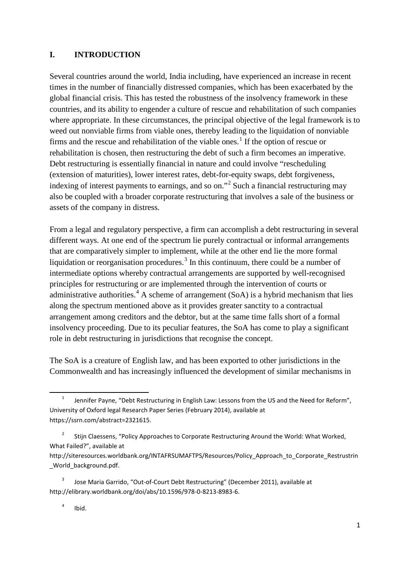## **I. INTRODUCTION**

<span id="page-2-4"></span>Several countries around the world, India including, have experienced an increase in recent times in the number of financially distressed companies, which has been exacerbated by the global financial crisis. This has tested the robustness of the insolvency framework in these countries, and its ability to engender a culture of rescue and rehabilitation of such companies where appropriate. In these circumstances, the principal objective of the legal framework is to weed out nonviable firms from viable ones, thereby leading to the liquidation of nonviable firms and the rescue and rehabilitation of the viable ones.<sup>[1](#page-2-0)</sup> If the option of rescue or rehabilitation is chosen, then restructuring the debt of such a firm becomes an imperative. Debt restructuring is essentially financial in nature and could involve "rescheduling (extension of maturities), lower interest rates, debt-for-equity swaps, debt forgiveness, indexing of interest payments to earnings, and so on."[2](#page-2-1) Such a financial restructuring may also be coupled with a broader corporate restructuring that involves a sale of the business or assets of the company in distress.

<span id="page-2-6"></span><span id="page-2-5"></span>From a legal and regulatory perspective, a firm can accomplish a debt restructuring in several different ways. At one end of the spectrum lie purely contractual or informal arrangements that are comparatively simpler to implement, while at the other end lie the more formal liquidation or reorganisation procedures.<sup>[3](#page-2-2)</sup> In this continuum, there could be a number of intermediate options whereby contractual arrangements are supported by well-recognised principles for restructuring or are implemented through the intervention of courts or administrative authorities.<sup>[4](#page-2-3)</sup> A scheme of arrangement (SoA) is a hybrid mechanism that lies along the spectrum mentioned above as it provides greater sanctity to a contractual arrangement among creditors and the debtor, but at the same time falls short of a formal insolvency proceeding. Due to its peculiar features, the SoA has come to play a significant role in debt restructuring in jurisdictions that recognise the concept.

The SoA is a creature of English law, and has been exported to other jurisdictions in the Commonwealth and has increasingly influenced the development of similar mechanisms in

<span id="page-2-0"></span> <sup>1</sup> Jennifer Payne, "Debt Restructuring in English Law: Lessons from the US and the Need for Reform", University of Oxford legal Research Paper Series (February 2014), available at https://ssrn.com/abstract=2321615.

<span id="page-2-1"></span><sup>&</sup>lt;sup>2</sup> Stijn Claessens, "Policy Approaches to Corporate Restructuring Around the World: What Worked, What Failed?", available at

http://siteresources.worldbank.org/INTAFRSUMAFTPS/Resources/Policy\_Approach\_to\_Corporate\_Restrustrin World\_background.pdf.

<span id="page-2-3"></span><span id="page-2-2"></span><sup>3</sup> Jose Maria Garrido, "Out-of-Court Debt Restructuring" (December 2011), available at http://elibrary.worldbank.org/doi/abs/10.1596/978-0-8213-8983-6.

 $4$  Ibid.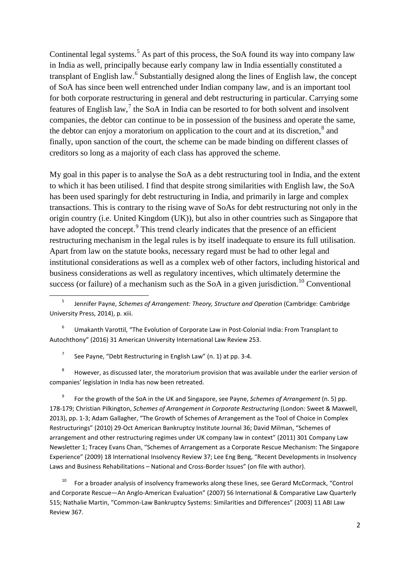<span id="page-3-8"></span><span id="page-3-0"></span>Continental legal systems.<sup>[5](#page-3-1)</sup> As part of this process, the SoA found its way into company law in India as well, principally because early company law in India essentially constituted a transplant of English law.<sup>[6](#page-3-2)</sup> Substantially designed along the lines of English law, the concept of SoA has since been well entrenched under Indian company law, and is an important tool for both corporate restructuring in general and debt restructuring in particular. Carrying some features of English law, $<sup>7</sup>$  $<sup>7</sup>$  $<sup>7</sup>$  the SoA in India can be resorted to for both solvent and insolvent</sup> companies, the debtor can continue to be in possession of the business and operate the same, the debtor can enjoy a moratorium on application to the court and at its discretion, $\frac{8}{3}$  $\frac{8}{3}$  $\frac{8}{3}$  and finally, upon sanction of the court, the scheme can be made binding on different classes of creditors so long as a majority of each class has approved the scheme.

<span id="page-3-7"></span>My goal in this paper is to analyse the SoA as a debt restructuring tool in India, and the extent to which it has been utilised. I find that despite strong similarities with English law, the SoA has been used sparingly for debt restructuring in India, and primarily in large and complex transactions. This is contrary to the rising wave of SoAs for debt restructuring not only in the origin country (i.e. United Kingdom (UK)), but also in other countries such as Singapore that have adopted the concept.<sup>[9](#page-3-5)</sup> This trend clearly indicates that the presence of an efficient restructuring mechanism in the legal rules is by itself inadequate to ensure its full utilisation. Apart from law on the statute books, necessary regard must be had to other legal and institutional considerations as well as a complex web of other factors, including historical and business considerations as well as regulatory incentives, which ultimately determine the success (or failure) of a mechanism such as the SoA in a given jurisdiction.<sup>[10](#page-3-6)</sup> Conventional

<span id="page-3-1"></span> 5 Jennifer Payne, *Schemes of Arrangement: Theory, Structure and Operation* (Cambridge: Cambridge University Press, 2014), p. xiii.

<span id="page-3-2"></span><sup>6</sup> Umakanth Varottil, "The Evolution of Corporate Law in Post-Colonial India: From Transplant to Autochthony" (2016) 31 American University International Law Review 253.

<span id="page-3-9"></span><sup>7</sup> See Payne, "Debt Restructuring in English Law" (n. [1\)](#page-2-4) at pp. 3-4.

<span id="page-3-4"></span><span id="page-3-3"></span><sup>8</sup> However, as discussed later, the moratorium provision that was available under the earlier version of companies' legislation in India has now been retreated.

<span id="page-3-5"></span><sup>9</sup> For the growth of the SoA in the UK and Singapore, see Payne, *Schemes of Arrangement* (n[. 5\)](#page-3-0) pp. 178-179; Christian Pilkington, *Schemes of Arrangement in Corporate Restructuring* (London: Sweet & Maxwell, 2013), pp. 1-3; Adam Gallagher, "The Growth of Schemes of Arrangement as the Tool of Choice in Complex Restructurings" (2010) 29-Oct American Bankruptcy Institute Journal 36; David Milman, "Schemes of arrangement and other restructuring regimes under UK company law in context" (2011) 301 Company Law Newsletter 1; Tracey Evans Chan, "Schemes of Arrangement as a Corporate Rescue Mechanism: The Singapore Experience" (2009) 18 International Insolvency Review 37; Lee Eng Beng, "Recent Developments in Insolvency Laws and Business Rehabilitations – National and Cross-Border Issues" (on file with author).

<span id="page-3-6"></span> $10$  For a broader analysis of insolvency frameworks along these lines, see Gerard McCormack, "Control and Corporate Rescue—An Anglo-American Evaluation" (2007) 56 International & Comparative Law Quarterly 515; Nathalie Martin, "Common-Law Bankruptcy Systems: Similarities and Differences" (2003) 11 ABI Law Review 367.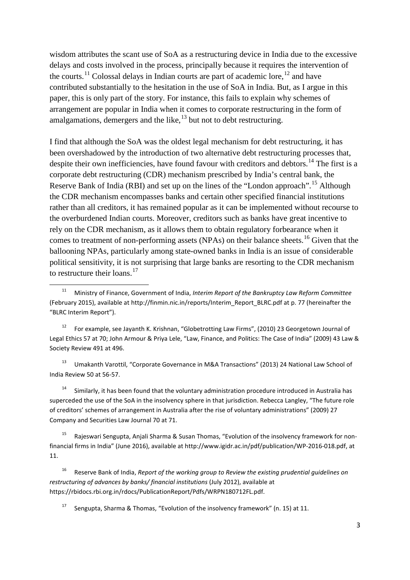<span id="page-4-8"></span>wisdom attributes the scant use of SoA as a restructuring device in India due to the excessive delays and costs involved in the process, principally because it requires the intervention of the courts.<sup>[11](#page-4-1)</sup> Colossal delays in Indian courts are part of academic lore,  $12$  and have contributed substantially to the hesitation in the use of SoA in India. But, as I argue in this paper, this is only part of the story. For instance, this fails to explain why schemes of arrangement are popular in India when it comes to corporate restructuring in the form of amalgamations, demergers and the like, $^{13}$  $^{13}$  $^{13}$  but not to debt restructuring.

<span id="page-4-0"></span>I find that although the SoA was the oldest legal mechanism for debt restructuring, it has been overshadowed by the introduction of two alternative debt restructuring processes that, despite their own inefficiencies, have found favour with creditors and debtors.<sup>[14](#page-4-4)</sup> The first is a corporate debt restructuring (CDR) mechanism prescribed by India's central bank, the Reserve Bank of India (RBI) and set up on the lines of the "London approach".<sup>[15](#page-4-5)</sup> Although the CDR mechanism encompasses banks and certain other specified financial institutions rather than all creditors, it has remained popular as it can be implemented without recourse to the overburdened Indian courts. Moreover, creditors such as banks have great incentive to rely on the CDR mechanism, as it allows them to obtain regulatory forbearance when it comes to treatment of non-performing assets (NPAs) on their balance sheets.<sup>[16](#page-4-6)</sup> Given that the ballooning NPAs, particularly among state-owned banks in India is an issue of considerable political sensitivity, it is not surprising that large banks are resorting to the CDR mechanism to restructure their loans. $17$ 

<span id="page-4-2"></span><sup>12</sup> For example, see Jayanth K. Krishnan, "Globetrotting Law Firms", (2010) 23 Georgetown Journal of Legal Ethics 57 at 70; John Armour & Priya Lele, "Law, Finance, and Politics: The Case of India" (2009) 43 Law & Society Review 491 at 496.

<span id="page-4-3"></span><sup>13</sup> Umakanth Varottil, "Corporate Governance in M&A Transactions" (2013) 24 National Law School of India Review 50 at 56-57.

<span id="page-4-4"></span><sup>14</sup> Similarly, it has been found that the voluntary administration procedure introduced in Australia has superceded the use of the SoA in the insolvency sphere in that jurisdiction. Rebecca Langley, "The future role of creditors' schemes of arrangement in Australia after the rise of voluntary administrations" (2009) 27 Company and Securities Law Journal 70 at 71.

<span id="page-4-7"></span><span id="page-4-6"></span><sup>16</sup> Reserve Bank of India, *Report of the working group to Review the existing prudential guidelines on restructuring of advances by banks/ financial institutions* (July 2012), available at https://rbidocs.rbi.org.in/rdocs/PublicationReport/Pdfs/WRPN180712FL.pdf.

Sengupta, Sharma & Thomas, "Evolution of the insolvency framework" (n[. 15\)](#page-4-0) at 11.

<span id="page-4-9"></span><span id="page-4-1"></span> <sup>11</sup> Ministry of Finance, Government of India, *Interim Report of the Bankruptcy Law Reform Committee* (February 2015), available at http://finmin.nic.in/reports/Interim\_Report\_BLRC.pdf at p. 77 (hereinafter the "BLRC Interim Report").

<span id="page-4-5"></span><sup>&</sup>lt;sup>15</sup> Rajeswari Sengupta, Anjali Sharma & Susan Thomas, "Evolution of the insolvency framework for nonfinancial firms in India" (June 2016), available at http://www.igidr.ac.in/pdf/publication/WP-2016-018.pdf, at 11.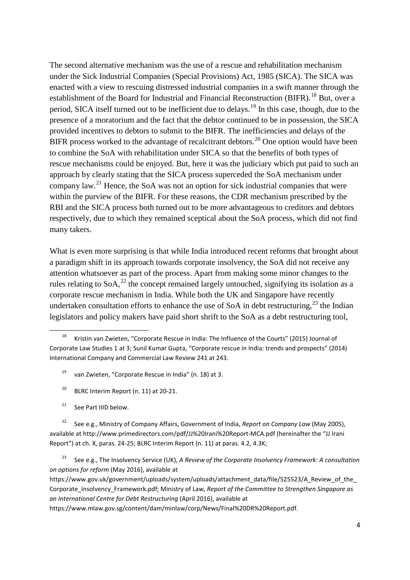<span id="page-5-0"></span>The second alternative mechanism was the use of a rescue and rehabilitation mechanism under the Sick Industrial Companies (Special Provisions) Act, 1985 (SICA). The SICA was enacted with a view to rescuing distressed industrial companies in a swift manner through the establishment of the Board for Industrial and Financial Reconstruction (BIFR).<sup>[18](#page-5-1)</sup> But, over a period, SICA itself turned out to be inefficient due to delays.<sup>[19](#page-5-2)</sup> In this case, though, due to the presence of a moratorium and the fact that the debtor continued to be in possession, the SICA provided incentives to debtors to submit to the BIFR. The inefficiencies and delays of the BIFR process worked to the advantage of recalcitrant debtors.<sup>[20](#page-5-3)</sup> One option would have been to combine the SoA with rehabilitation under SICA so that the benefits of both types of rescue mechanisms could be enjoyed. But, here it was the judiciary which put paid to such an approach by clearly stating that the SICA process superceded the SoA mechanism under company law.<sup>[21](#page-5-4)</sup> Hence, the SoA was not an option for sick industrial companies that were within the purview of the BIFR. For these reasons, the CDR mechanism prescribed by the RBI and the SICA process both turned out to be more advantageous to creditors and debtors respectively, due to which they remained sceptical about the SoA process, which did not find many takers.

<span id="page-5-7"></span>What is even more surprising is that while India introduced recent reforms that brought about a paradigm shift in its approach towards corporate insolvency, the SoA did not receive any attention whatsoever as part of the process. Apart from making some minor changes to the rules relating to SoA,  $^{22}$  $^{22}$  $^{22}$  the concept remained largely untouched, signifying its isolation as a corporate rescue mechanism in India. While both the UK and Singapore have recently undertaken consultation efforts to enhance the use of SoA in debt restructuring.<sup>[23](#page-5-6)</sup> the Indian legislators and policy makers have paid short shrift to the SoA as a debt restructuring tool,

- <span id="page-5-8"></span><sup>19</sup> van Zwieten, "Corporate Rescue in India" (n[. 18\)](#page-5-0) at 3.
- <sup>20</sup> BLRC Interim Report (n. [11\)](#page-4-8) at 20-21.
- $21$  See Part IIID below.

<span id="page-5-5"></span><span id="page-5-4"></span><span id="page-5-3"></span><sup>22</sup> See e.g., Ministry of Company Affairs, Government of India, *Report on Company Law* (May 2005), available at http://www.primedirectors.com/pdf/JJ%20Irani%20Report-MCA.pdf (hereinafter the "JJ Irani Report") at ch. X, paras. 24-25; BLRC Interim Report (n. [11\)](#page-4-8) at paras. 4.2, 4.3K;

<span id="page-5-6"></span><sup>23</sup> See e.g., The Insolvency Service (UK), *A Review of the Corporate Insolvency Framework: A consultation on options for reform* (May 2016), available at

https://www.gov.uk/government/uploads/system/uploads/attachment\_data/file/525523/A\_Review\_of\_the Corporate\_Insolvency\_Framework.pdf; Ministry of Law, *Report of the Committee to Strengthen Singapore as an International Centre for Debt Restructuring* (April 2016), available at

https://www.mlaw.gov.sg/content/dam/minlaw/corp/News/Final%20DR%20Report.pdf.

<span id="page-5-2"></span><span id="page-5-1"></span> <sup>18</sup> Kristin van Zwieten, "Corporate Rescue in India: The Influence of the Courts" (2015) Journal of Corporate Law Studies 1 at 3; Sunil Kumar Gupta, "Corporate rescue in India: trends and prospects" (2014) International Company and Commercial Law Review 241 at 243.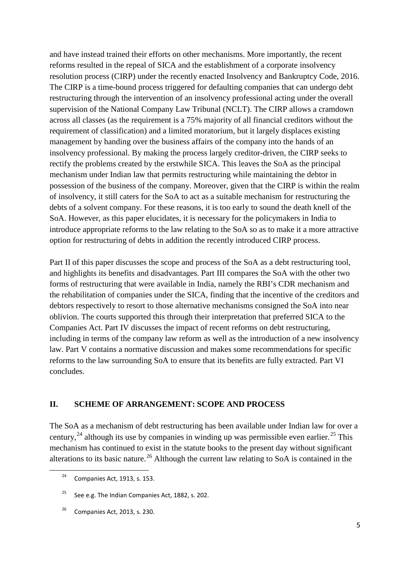and have instead trained their efforts on other mechanisms. More importantly, the recent reforms resulted in the repeal of SICA and the establishment of a corporate insolvency resolution process (CIRP) under the recently enacted Insolvency and Bankruptcy Code, 2016. The CIRP is a time-bound process triggered for defaulting companies that can undergo debt restructuring through the intervention of an insolvency professional acting under the overall supervision of the National Company Law Tribunal (NCLT). The CIRP allows a cramdown across all classes (as the requirement is a 75% majority of all financial creditors without the requirement of classification) and a limited moratorium, but it largely displaces existing management by handing over the business affairs of the company into the hands of an insolvency professional. By making the process largely creditor-driven, the CIRP seeks to rectify the problems created by the erstwhile SICA. This leaves the SoA as the principal mechanism under Indian law that permits restructuring while maintaining the debtor in possession of the business of the company. Moreover, given that the CIRP is within the realm of insolvency, it still caters for the SoA to act as a suitable mechanism for restructuring the debts of a solvent company. For these reasons, it is too early to sound the death knell of the SoA. However, as this paper elucidates, it is necessary for the policymakers in India to introduce appropriate reforms to the law relating to the SoA so as to make it a more attractive option for restructuring of debts in addition the recently introduced CIRP process.

Part II of this paper discusses the scope and process of the SoA as a debt restructuring tool, and highlights its benefits and disadvantages. Part III compares the SoA with the other two forms of restructuring that were available in India, namely the RBI's CDR mechanism and the rehabilitation of companies under the SICA, finding that the incentive of the creditors and debtors respectively to resort to those alternative mechanisms consigned the SoA into near oblivion. The courts supported this through their interpretation that preferred SICA to the Companies Act. Part IV discusses the impact of recent reforms on debt restructuring, including in terms of the company law reform as well as the introduction of a new insolvency law. Part V contains a normative discussion and makes some recommendations for specific reforms to the law surrounding SoA to ensure that its benefits are fully extracted. Part VI concludes.

#### **II. SCHEME OF ARRANGEMENT: SCOPE AND PROCESS**

The SoA as a mechanism of debt restructuring has been available under Indian law for over a century,  $^{24}$  $^{24}$  $^{24}$  although its use by companies in winding up was permissible even earlier. <sup>[25](#page-6-1)</sup> This mechanism has continued to exist in the statute books to the present day without significant alterations to its basic nature.<sup>[26](#page-6-2)</sup> Although the current law relating to SoA is contained in the

<span id="page-6-0"></span> $24$  Companies Act, 1913, s. 153.

<span id="page-6-1"></span><sup>&</sup>lt;sup>25</sup> See e.g. The Indian Companies Act, 1882, s. 202.

<span id="page-6-2"></span> $26$  Companies Act, 2013, s. 230.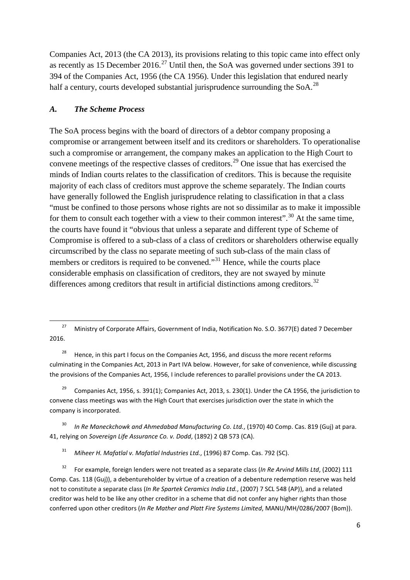Companies Act, 2013 (the CA 2013), its provisions relating to this topic came into effect only as recently as 15 December 2016.<sup>[27](#page-7-0)</sup> Until then, the SoA was governed under sections 391 to 394 of the Companies Act, 1956 (the CA 1956). Under this legislation that endured nearly half a century, courts developed substantial jurisprudence surrounding the  $SoA$ <sup>[28](#page-7-1)</sup>

#### *A. The Scheme Process*

<span id="page-7-8"></span>The SoA process begins with the board of directors of a debtor company proposing a compromise or arrangement between itself and its creditors or shareholders. To operationalise such a compromise or arrangement, the company makes an application to the High Court to convene meetings of the respective classes of creditors.<sup>[29](#page-7-2)</sup> One issue that has exercised the minds of Indian courts relates to the classification of creditors. This is because the requisite majority of each class of creditors must approve the scheme separately. The Indian courts have generally followed the English jurisprudence relating to classification in that a class "must be confined to those persons whose rights are not so dissimilar as to make it impossible for them to consult each together with a view to their common interest".<sup>[30](#page-7-3)</sup> At the same time, the courts have found it "obvious that unless a separate and different type of Scheme of Compromise is offered to a sub-class of a class of creditors or shareholders otherwise equally circumscribed by the class no separate meeting of such sub-class of the main class of members or creditors is required to be convened."<sup>[31](#page-7-4)</sup> Hence, while the courts place considerable emphasis on classification of creditors, they are not swayed by minute differences among creditors that result in artificial distinctions among creditors.<sup>[32](#page-7-5)</sup>

<span id="page-7-1"></span><sup>28</sup> Hence, in this part I focus on the Companies Act, 1956, and discuss the more recent reforms culminating in the Companies Act, 2013 in Part IVA below. However, for sake of convenience, while discussing the provisions of the Companies Act, 1956, I include references to parallel provisions under the CA 2013.

<span id="page-7-2"></span><sup>29</sup> Companies Act, 1956, s. 391(1); Companies Act, 2013, s. 230(1). Under the CA 1956, the jurisdiction to convene class meetings was with the High Court that exercises jurisdiction over the state in which the company is incorporated.

<span id="page-7-3"></span><sup>30</sup> *In Re Maneckchowk and Ahmedabad Manufacturing Co. Ltd.*, (1970) 40 Comp. Cas. 819 (Guj) at para. 41, relying on *Sovereign Life Assurance Co. v. Dodd*, (1892) 2 QB 573 (CA).

<sup>31</sup> *Miheer H. Mafatlal v. Mafatlal Industries Ltd.*, (1996) 87 Comp. Cas. 792 (SC).

<span id="page-7-5"></span><span id="page-7-4"></span><sup>32</sup> For example, foreign lenders were not treated as a separate class (*In Re Arvind Mills Ltd*, (2002) 111 Comp. Cas. 118 (Guj)), a debentureholder by virtue of a creation of a debenture redemption reserve was held not to constitute a separate class (*In Re Spartek Ceramics India Ltd.*, (2007) 7 SCL 548 (AP)), and a related creditor was held to be like any other creditor in a scheme that did not confer any higher rights than those conferred upon other creditors (*In Re Mather and Platt Fire Systems Limited*, MANU/MH/0286/2007 (Bom)).

<span id="page-7-7"></span><span id="page-7-6"></span><span id="page-7-0"></span><sup>&</sup>lt;sup>27</sup> Ministry of Corporate Affairs, Government of India, Notification No. S.O. 3677(E) dated 7 December 2016.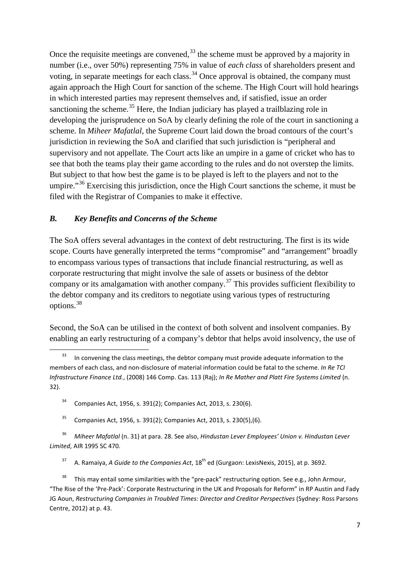Once the requisite meetings are convened,  $33$  the scheme must be approved by a majority in number (i.e., over 50%) representing 75% in value of *each class* of shareholders present and voting, in separate meetings for each class.<sup>[34](#page-8-1)</sup> Once approval is obtained, the company must again approach the High Court for sanction of the scheme. The High Court will hold hearings in which interested parties may represent themselves and, if satisfied, issue an order sanctioning the scheme.<sup>[35](#page-8-2)</sup> Here, the Indian judiciary has played a trailblazing role in developing the jurisprudence on SoA by clearly defining the role of the court in sanctioning a scheme. In *Miheer Mafatlal*, the Supreme Court laid down the broad contours of the court's jurisdiction in reviewing the SoA and clarified that such jurisdiction is "peripheral and supervisory and not appellate. The Court acts like an umpire in a game of cricket who has to see that both the teams play their game according to the rules and do not overstep the limits. But subject to that how best the game is to be played is left to the players and not to the umpire."<sup>[36](#page-8-3)</sup> Exercising this jurisdiction, once the High Court sanctions the scheme, it must be filed with the Registrar of Companies to make it effective.

## *B. Key Benefits and Concerns of the Scheme*

<span id="page-8-7"></span>The SoA offers several advantages in the context of debt restructuring. The first is its wide scope. Courts have generally interpreted the terms "compromise" and "arrangement" broadly to encompass various types of transactions that include financial restructuring, as well as corporate restructuring that might involve the sale of assets or business of the debtor company or its amalgamation with another company.<sup>[37](#page-8-4)</sup> This provides sufficient flexibility to the debtor company and its creditors to negotiate using various types of restructuring options.[38](#page-8-5)

<span id="page-8-6"></span>Second, the SoA can be utilised in the context of both solvent and insolvent companies. By enabling an early restructuring of a company's debtor that helps avoid insolvency, the use of

- <sup>34</sup> Companies Act, 1956, s. 391(2); Companies Act, 2013, s. 230(6).
- <sup>35</sup> Companies Act, 1956, s. 391(2); Companies Act, 2013, s. 230(5), (6).

<span id="page-8-3"></span><span id="page-8-2"></span><span id="page-8-1"></span><sup>36</sup> *Miheer Mafatlal* (n[. 31\)](#page-7-7) at para. 28. See also, *Hindustan Lever Employees' Union v. Hindustan Lever Limited*, AIR 1995 SC 470.

<sup>37</sup> A. Ramaiya, *A Guide to the Companies Act*, 18<sup>th</sup> ed (Gurgaon: LexisNexis, 2015), at p. 3692.

<span id="page-8-5"></span><span id="page-8-4"></span>This may entail some similarities with the "pre-pack" restructuring option. See e.g., John Armour, "The Rise of the 'Pre-Pack': Corporate Restructuring in the UK and Proposals for Reform" in RP Austin and Fady JG Aoun, *Restructuring Companies in Troubled Times: Director and Creditor Perspectives* (Sydney: Ross Parsons Centre, 2012) at p. 43.

<span id="page-8-0"></span>In convening the class meetings, the debtor company must provide adequate information to the members of each class, and non-disclosure of material information could be fatal to the scheme. *In Re TCI Infrastructure Finance Ltd.*, (2008) 146 Comp. Cas. 113 (Raj); *In Re Mather and Platt Fire Systems Limited* (n. [32\)](#page-7-6).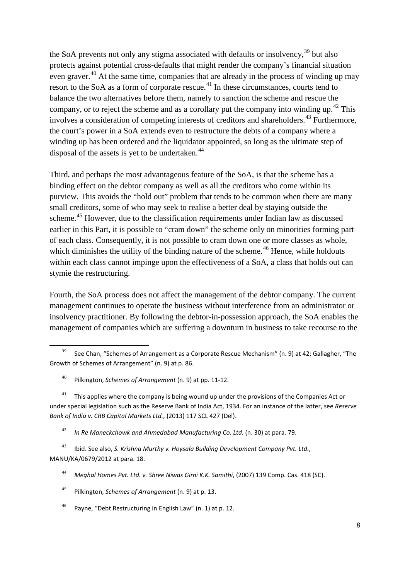the SoA prevents not only any stigma associated with defaults or insolvency,<sup>[39](#page-9-0)</sup> but also protects against potential cross-defaults that might render the company's financial situation even graver.<sup>[40](#page-9-1)</sup> At the same time, companies that are already in the process of winding up may resort to the SoA as a form of corporate rescue.<sup>[41](#page-9-2)</sup> In these circumstances, courts tend to balance the two alternatives before them, namely to sanction the scheme and rescue the company, or to reject the scheme and as a corollary put the company into winding up.<sup>[42](#page-9-3)</sup> This involves a consideration of competing interests of creditors and shareholders.<sup>[43](#page-9-4)</sup> Furthermore, the court's power in a SoA extends even to restructure the debts of a company where a winding up has been ordered and the liquidator appointed, so long as the ultimate step of disposal of the assets is yet to be undertaken.<sup>[44](#page-9-5)</sup>

Third, and perhaps the most advantageous feature of the SoA, is that the scheme has a binding effect on the debtor company as well as all the creditors who come within its purview. This avoids the "hold out" problem that tends to be common when there are many small creditors, some of who may seek to realise a better deal by staying outside the scheme.<sup>[45](#page-9-6)</sup> However, due to the classification requirements under Indian law as discussed earlier in this Part, it is possible to "cram down" the scheme only on minorities forming part of each class. Consequently, it is not possible to cram down one or more classes as whole, which diminishes the utility of the binding nature of the scheme.<sup>[46](#page-9-7)</sup> Hence, while holdouts within each class cannot impinge upon the effectiveness of a SoA, a class that holds out can stymie the restructuring.

Fourth, the SoA process does not affect the management of the debtor company. The current management continues to operate the business without interference from an administrator or insolvency practitioner. By following the debtor-in-possession approach, the SoA enables the management of companies which are suffering a downturn in business to take recourse to the

<span id="page-9-0"></span><sup>&</sup>lt;sup>39</sup> See Chan, "Schemes of Arrangement as a Corporate Rescue Mechanism" (n. [9\)](#page-3-7) at 42; Gallagher, "The Growth of Schemes of Arrangement" (n. [9\)](#page-3-7) at p. 86.

<sup>40</sup> Pilkington, *Schemes of Arrangement* (n[. 9\)](#page-3-7) at pp. 11-12.

<span id="page-9-2"></span><span id="page-9-1"></span><sup>&</sup>lt;sup>41</sup> This applies where the company is being wound up under the provisions of the Companies Act or under special legislation such as the Reserve Bank of India Act, 1934. For an instance of the latter, see *Reserve Bank of India v. CRB Capital Markets Ltd.*, (2013) 117 SCL 427 (Del).

<sup>42</sup> *In Re Maneckchowk and Ahmedabad Manufacturing Co. Ltd.* (n. [30\)](#page-7-8) at para. 79.

<span id="page-9-5"></span><span id="page-9-4"></span><span id="page-9-3"></span><sup>43</sup> Ibid. See also, *S. Krishna Murthy v. Hoysala Building Development Company Pvt. Ltd.*, MANU/KA/0679/2012 at para. 18.

<sup>44</sup> *Meghal Homes Pvt. Ltd. v. Shree Niwas Girni K.K. Samithi*, (2007) 139 Comp. Cas. 418 (SC).

<span id="page-9-6"></span><sup>45</sup> Pilkington, *Schemes of Arrangement* (n[. 9\)](#page-3-7) at p. 13.

<span id="page-9-7"></span><sup>46</sup> Payne, "Debt Restructuring in English Law" (n. [1\)](#page-2-4) at p. 12.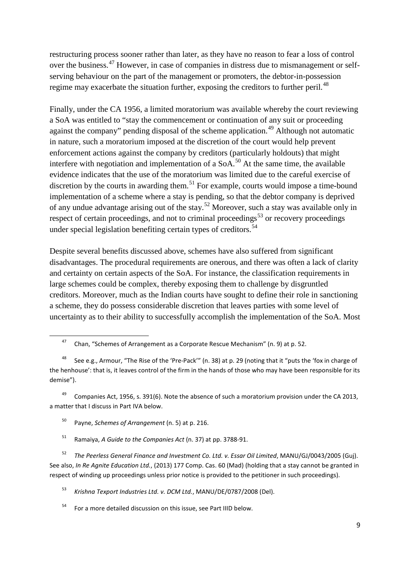restructuring process sooner rather than later, as they have no reason to fear a loss of control over the business.[47](#page-10-0) However, in case of companies in distress due to mismanagement or selfserving behaviour on the part of the management or promoters, the debtor-in-possession regime may exacerbate the situation further, exposing the creditors to further peril.<sup>[48](#page-10-1)</sup>

Finally, under the CA 1956, a limited moratorium was available whereby the court reviewing a SoA was entitled to "stay the commencement or continuation of any suit or proceeding against the company" pending disposal of the scheme application.<sup>[49](#page-10-2)</sup> Although not automatic in nature, such a moratorium imposed at the discretion of the court would help prevent enforcement actions against the company by creditors (particularly holdouts) that might interfere with negotiation and implementation of a  $SoA<sup>50</sup>$  $SoA<sup>50</sup>$  $SoA<sup>50</sup>$  At the same time, the available evidence indicates that the use of the moratorium was limited due to the careful exercise of discretion by the courts in awarding them.<sup>[51](#page-10-4)</sup> For example, courts would impose a time-bound implementation of a scheme where a stay is pending, so that the debtor company is deprived of any undue advantage arising out of the stay.<sup>[52](#page-10-5)</sup> Moreover, such a stay was available only in respect of certain proceedings, and not to criminal proceedings<sup>[53](#page-10-6)</sup> or recovery proceedings under special legislation benefiting certain types of creditors.<sup>[54](#page-10-7)</sup>

Despite several benefits discussed above, schemes have also suffered from significant disadvantages. The procedural requirements are onerous, and there was often a lack of clarity and certainty on certain aspects of the SoA. For instance, the classification requirements in large schemes could be complex, thereby exposing them to challenge by disgruntled creditors. Moreover, much as the Indian courts have sought to define their role in sanctioning a scheme, they do possess considerable discretion that leaves parties with some level of uncertainty as to their ability to successfully accomplish the implementation of the SoA. Most

<span id="page-10-3"></span><span id="page-10-2"></span><sup>49</sup> Companies Act, 1956, s. 391(6). Note the absence of such a moratorium provision under the CA 2013, a matter that I discuss in Part IVA below.

- <sup>50</sup> Payne, *Schemes of Arrangement* (n[. 5\)](#page-3-0) at p. 216.
- <sup>51</sup> Ramaiya, *A Guide to the Companies Act* (n. [37\)](#page-8-7) at pp. 3788-91.

<span id="page-10-5"></span><span id="page-10-4"></span><sup>52</sup> *The Peerless General Finance and Investment Co. Ltd. v. Essar Oil Limited*, MANU/GJ/0043/2005 (Guj). See also, *In Re Agnite Education Ltd.*, (2013) 177 Comp. Cas. 60 (Mad) (holding that a stay cannot be granted in respect of winding up proceedings unless prior notice is provided to the petitioner in such proceedings).

<span id="page-10-6"></span><sup>53</sup> *Krishna Texport Industries Ltd. v. DCM Ltd.*, MANU/DE/0787/2008 (Del).

<span id="page-10-7"></span><sup>54</sup> For a more detailed discussion on this issue, see Part IIID below.

<sup>&</sup>lt;sup>47</sup> Chan, "Schemes of Arrangement as a Corporate Rescue Mechanism" (n. [9\)](#page-3-7) at p. 52.

<span id="page-10-1"></span><span id="page-10-0"></span>See e.g., Armour, "The Rise of the 'Pre-Pack'" (n. [38\)](#page-8-6) at p. 29 (noting that it "puts the 'fox in charge of the henhouse': that is, it leaves control of the firm in the hands of those who may have been responsible for its demise").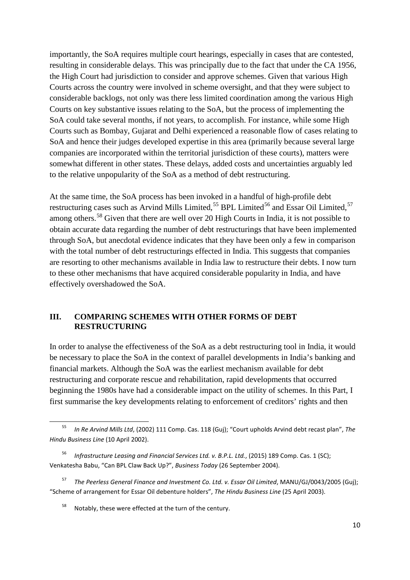importantly, the SoA requires multiple court hearings, especially in cases that are contested, resulting in considerable delays. This was principally due to the fact that under the CA 1956, the High Court had jurisdiction to consider and approve schemes. Given that various High Courts across the country were involved in scheme oversight, and that they were subject to considerable backlogs, not only was there less limited coordination among the various High Courts on key substantive issues relating to the SoA, but the process of implementing the SoA could take several months, if not years, to accomplish. For instance, while some High Courts such as Bombay, Gujarat and Delhi experienced a reasonable flow of cases relating to SoA and hence their judges developed expertise in this area (primarily because several large companies are incorporated within the territorial jurisdiction of these courts), matters were somewhat different in other states. These delays, added costs and uncertainties arguably led to the relative unpopularity of the SoA as a method of debt restructuring.

At the same time, the SoA process has been invoked in a handful of high-profile debt restructuring cases such as Arvind Mills Limited,<sup>[55](#page-11-0)</sup> BPL Limited<sup>[56](#page-11-1)</sup> and Essar Oil Limited,<sup>[57](#page-11-2)</sup> among others.<sup>[58](#page-11-3)</sup> Given that there are well over 20 High Courts in India, it is not possible to obtain accurate data regarding the number of debt restructurings that have been implemented through SoA, but anecdotal evidence indicates that they have been only a few in comparison with the total number of debt restructurings effected in India. This suggests that companies are resorting to other mechanisms available in India law to restructure their debts. I now turn to these other mechanisms that have acquired considerable popularity in India, and have effectively overshadowed the SoA.

## **III. COMPARING SCHEMES WITH OTHER FORMS OF DEBT RESTRUCTURING**

In order to analyse the effectiveness of the SoA as a debt restructuring tool in India, it would be necessary to place the SoA in the context of parallel developments in India's banking and financial markets. Although the SoA was the earliest mechanism available for debt restructuring and corporate rescue and rehabilitation, rapid developments that occurred beginning the 1980s have had a considerable impact on the utility of schemes. In this Part, I first summarise the key developments relating to enforcement of creditors' rights and then

<span id="page-11-0"></span> <sup>55</sup> *In Re Arvind Mills Ltd*, (2002) 111 Comp. Cas. 118 (Guj); "Court upholds Arvind debt recast plan", *The Hindu Business Line* (10 April 2002).

<span id="page-11-1"></span><sup>56</sup> *Infrastructure Leasing and Financial Services Ltd. v. B.P.L. Ltd.*, (2015) 189 Comp. Cas. 1 (SC); Venkatesha Babu, "Can BPL Claw Back Up?", *Business Today* (26 September 2004).

<span id="page-11-3"></span><span id="page-11-2"></span><sup>57</sup> *The Peerless General Finance and Investment Co. Ltd. v. Essar Oil Limited*, MANU/GJ/0043/2005 (Guj); "Scheme of arrangement for Essar Oil debenture holders", *The Hindu Business Line* (25 April 2003).

<sup>&</sup>lt;sup>58</sup> Notably, these were effected at the turn of the century.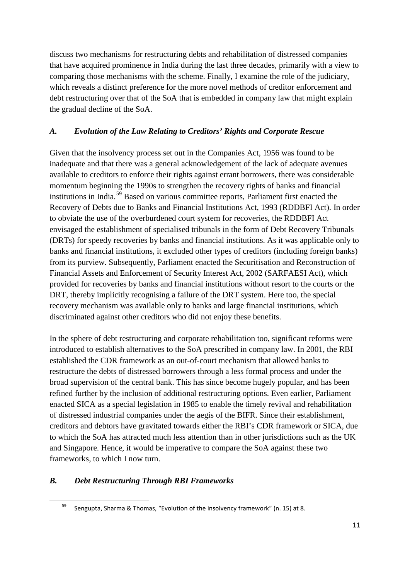discuss two mechanisms for restructuring debts and rehabilitation of distressed companies that have acquired prominence in India during the last three decades, primarily with a view to comparing those mechanisms with the scheme. Finally, I examine the role of the judiciary, which reveals a distinct preference for the more novel methods of creditor enforcement and debt restructuring over that of the SoA that is embedded in company law that might explain the gradual decline of the SoA.

## *A. Evolution of the Law Relating to Creditors' Rights and Corporate Rescue*

Given that the insolvency process set out in the Companies Act, 1956 was found to be inadequate and that there was a general acknowledgement of the lack of adequate avenues available to creditors to enforce their rights against errant borrowers, there was considerable momentum beginning the 1990s to strengthen the recovery rights of banks and financial institutions in India.[59](#page-12-0) Based on various committee reports, Parliament first enacted the Recovery of Debts due to Banks and Financial Institutions Act, 1993 (RDDBFI Act). In order to obviate the use of the overburdened court system for recoveries, the RDDBFI Act envisaged the establishment of specialised tribunals in the form of Debt Recovery Tribunals (DRTs) for speedy recoveries by banks and financial institutions. As it was applicable only to banks and financial institutions, it excluded other types of creditors (including foreign banks) from its purview. Subsequently, Parliament enacted the Securitisation and Reconstruction of Financial Assets and Enforcement of Security Interest Act, 2002 (SARFAESI Act), which provided for recoveries by banks and financial institutions without resort to the courts or the DRT, thereby implicitly recognising a failure of the DRT system. Here too, the special recovery mechanism was available only to banks and large financial institutions, which discriminated against other creditors who did not enjoy these benefits.

In the sphere of debt restructuring and corporate rehabilitation too, significant reforms were introduced to establish alternatives to the SoA prescribed in company law. In 2001, the RBI established the CDR framework as an out-of-court mechanism that allowed banks to restructure the debts of distressed borrowers through a less formal process and under the broad supervision of the central bank. This has since become hugely popular, and has been refined further by the inclusion of additional restructuring options. Even earlier, Parliament enacted SICA as a special legislation in 1985 to enable the timely revival and rehabilitation of distressed industrial companies under the aegis of the BIFR. Since their establishment, creditors and debtors have gravitated towards either the RBI's CDR framework or SICA, due to which the SoA has attracted much less attention than in other jurisdictions such as the UK and Singapore. Hence, it would be imperative to compare the SoA against these two frameworks, to which I now turn.

## <span id="page-12-0"></span>*B. Debt Restructuring Through RBI Frameworks*

 <sup>59</sup> Sengupta, Sharma & Thomas, "Evolution of the insolvency framework" (n[. 15\)](#page-4-0) at 8.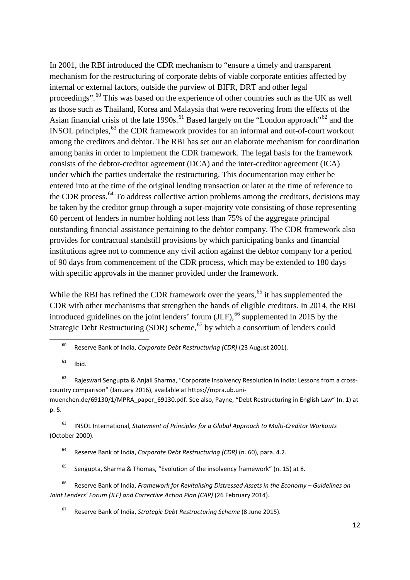<span id="page-13-0"></span>In 2001, the RBI introduced the CDR mechanism to "ensure a timely and transparent mechanism for the restructuring of corporate debts of viable corporate entities affected by internal or external factors, outside the purview of BIFR, DRT and other legal proceedings".[60](#page-13-1) This was based on the experience of other countries such as the UK as well as those such as Thailand, Korea and Malaysia that were recovering from the effects of the Asian financial crisis of the late 1990s.<sup>[61](#page-13-2)</sup> Based largely on the "London approach"<sup>[62](#page-13-3)</sup> and the INSOL principles,<sup>[63](#page-13-4)</sup> the CDR framework provides for an informal and out-of-court workout among the creditors and debtor. The RBI has set out an elaborate mechanism for coordination among banks in order to implement the CDR framework. The legal basis for the framework consists of the debtor-creditor agreement (DCA) and the inter-creditor agreement (ICA) under which the parties undertake the restructuring. This documentation may either be entered into at the time of the original lending transaction or later at the time of reference to the CDR process.<sup>[64](#page-13-5)</sup> To address collective action problems among the creditors, decisions may be taken by the creditor group through a super-majority vote consisting of those representing 60 percent of lenders in number holding not less than 75% of the aggregate principal outstanding financial assistance pertaining to the debtor company. The CDR framework also provides for contractual standstill provisions by which participating banks and financial institutions agree not to commence any civil action against the debtor company for a period of 90 days from commencement of the CDR process, which may be extended to 180 days with specific approvals in the manner provided under the framework.

While the RBI has refined the CDR framework over the years,  $65$  it has supplemented the CDR with other mechanisms that strengthen the hands of eligible creditors. In 2014, the RBI introduced guidelines on the joint lenders' forum  $(ILF)$ , <sup>[66](#page-13-7)</sup> supplemented in 2015 by the Strategic Debt Restructuring (SDR) scheme,  $67$  by which a consortium of lenders could

60 Reserve Bank of India, *Corporate Debt Restructuring (CDR)* (23 August 2001).

 $61$  Ibid.

<span id="page-13-3"></span><span id="page-13-2"></span><span id="page-13-1"></span><sup>62</sup> Rajeswari Sengupta & Anjali Sharma, "Corporate Insolvency Resolution in India: Lessons from a crosscountry comparison" (January 2016), available at https://mpra.ub.uni-

muenchen.de/69130/1/MPRA\_paper\_69130.pdf. See also, Payne, "Debt Restructuring in English Law" (n. [1\)](#page-2-4) at p. 5.

<span id="page-13-5"></span><span id="page-13-4"></span><sup>63</sup> INSOL International, *Statement of Principles for a Global Approach to Multi-Creditor Workouts*  (October 2000).

<sup>64</sup> Reserve Bank of India, *Corporate Debt Restructuring (CDR)* (n. [60\)](#page-13-0), para. 4.2.

<sup>65</sup> Sengupta, Sharma & Thomas, "Evolution of the insolvency framework" (n[. 15\)](#page-4-0) at 8.

<span id="page-13-8"></span><span id="page-13-7"></span><span id="page-13-6"></span><sup>66</sup> Reserve Bank of India, *Framework for Revitalising Distressed Assets in the Economy – Guidelines on Joint Lenders' Forum (JLF) and Corrective Action Plan (CAP)* (26 February 2014).

<sup>67</sup> Reserve Bank of India, *Strategic Debt Restructuring Scheme* (8 June 2015).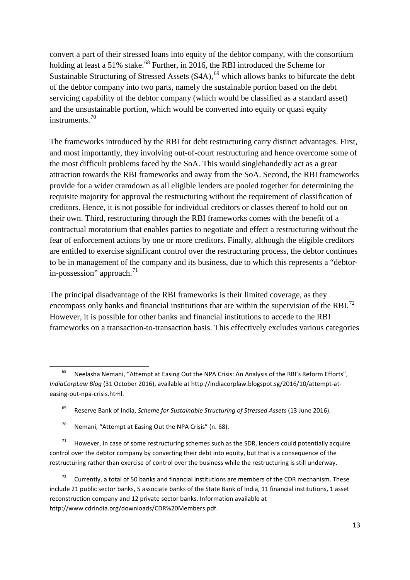<span id="page-14-0"></span>convert a part of their stressed loans into equity of the debtor company, with the consortium holding at least a 51% stake.<sup>[68](#page-14-1)</sup> Further, in 2016, the RBI introduced the Scheme for Sustainable Structuring of Stressed Assets  $(S4A)$ , <sup>[69](#page-14-2)</sup> which allows banks to bifurcate the debt of the debtor company into two parts, namely the sustainable portion based on the debt servicing capability of the debtor company (which would be classified as a standard asset) and the unsustainable portion, which would be converted into equity or quasi equity instruments.[70](#page-14-3)

The frameworks introduced by the RBI for debt restructuring carry distinct advantages. First, and most importantly, they involving out-of-court restructuring and hence overcome some of the most difficult problems faced by the SoA. This would singlehandedly act as a great attraction towards the RBI frameworks and away from the SoA. Second, the RBI frameworks provide for a wider cramdown as all eligible lenders are pooled together for determining the requisite majority for approval the restructuring without the requirement of classification of creditors. Hence, it is not possible for individual creditors or classes thereof to hold out on their own. Third, restructuring through the RBI frameworks comes with the benefit of a contractual moratorium that enables parties to negotiate and effect a restructuring without the fear of enforcement actions by one or more creditors. Finally, although the eligible creditors are entitled to exercise significant control over the restructuring process, the debtor continues to be in management of the company and its business, due to which this represents a "debtorin-possession" approach. $^{71}$  $^{71}$  $^{71}$ 

The principal disadvantage of the RBI frameworks is their limited coverage, as they encompass only banks and financial institutions that are within the supervision of the RBI.<sup>[72](#page-14-5)</sup> However, it is possible for other banks and financial institutions to accede to the RBI frameworks on a transaction-to-transaction basis. This effectively excludes various categories

<span id="page-14-1"></span><sup>&</sup>lt;sup>68</sup> Neelasha Nemani, "Attempt at Easing Out the NPA Crisis: An Analysis of the RBI's Reform Efforts", *IndiaCorpLaw Blog* (31 October 2016), available at http://indiacorplaw.blogspot.sg/2016/10/attempt-ateasing-out-npa-crisis.html.

<sup>69</sup> Reserve Bank of India, *Scheme for Sustainable Structuring of Stressed Assets* (13 June 2016).

 $70$  Nemani, "Attempt at Easing Out the NPA Crisis" (n. [68\)](#page-14-0).

<span id="page-14-4"></span><span id="page-14-3"></span><span id="page-14-2"></span> $71$  However, in case of some restructuring schemes such as the SDR, lenders could potentially acquire control over the debtor company by converting their debt into equity, but that is a consequence of the restructuring rather than exercise of control over the business while the restructuring is still underway.

<span id="page-14-5"></span>Currently, a total of 50 banks and financial institutions are members of the CDR mechanism. These include 21 public sector banks, 5 associate banks of the State Bank of India, 11 financial institutions, 1 asset reconstruction company and 12 private sector banks. Information available at http://www.cdrindia.org/downloads/CDR%20Members.pdf.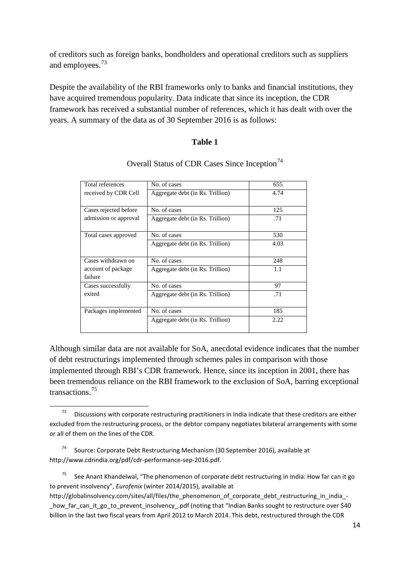of creditors such as foreign banks, bondholders and operational creditors such as suppliers and employees.[73](#page-15-0)

Despite the availability of the RBI frameworks only to banks and financial institutions, they have acquired tremendous popularity. Data indicate that since its inception, the CDR framework has received a substantial number of references, which it has dealt with over the years. A summary of the data as of 30 September 2016 is as follows:

#### **Table 1**

| Total references              | No. of cases                     | 655  |
|-------------------------------|----------------------------------|------|
| received by CDR Cell          | Aggregate debt (in Rs. Trillion) | 4.74 |
| Cases rejected before         | No. of cases                     | 125  |
| admission or approval         | Aggregate debt (in Rs. Trillion) | .71  |
| Total cases approved          | No. of cases                     | 530  |
|                               | Aggregate debt (in Rs. Trillion) | 4.03 |
| Cases withdrawn on            | No. of cases                     | 248  |
| account of package<br>failure | Aggregate debt (in Rs. Trillion) | 1.1  |
| Cases successfully            | No. of cases                     | 97   |
| exited                        | Aggregate debt (in Rs. Trillion) | .71  |
| Packages implemented          | No. of cases                     | 185  |
|                               | Aggregate debt (in Rs. Trillion) | 2.22 |

## Overall Status of CDR Cases Since Inception<sup>[74](#page-15-1)</sup>

Although similar data are not available for SoA, anecdotal evidence indicates that the number of debt restructurings implemented through schemes pales in comparison with those implemented through RBI's CDR framework. Hence, since its inception in 2001, there has been tremendous reliance on the RBI framework to the exclusion of SoA, barring exceptional transactions.[75](#page-15-2)

<span id="page-15-1"></span><sup>74</sup> Source: Corporate Debt Restructuring Mechanism (30 September 2016), available at http://www.cdrindia.org/pdf/cdr-performance-sep-2016.pdf.

<span id="page-15-0"></span> $73$  Discussions with corporate restructuring practitioners in India indicate that these creditors are either excluded from the restructuring process, or the debtor company negotiates bilateral arrangements with some or all of them on the lines of the CDR.

<span id="page-15-2"></span> $75$  See Anant Khandelwal, "The phenomenon of corporate debt restructuring in India: How far can it go to prevent insolvency", *Eurofenix* (winter 2014/2015), available at

http://globalinsolvency.com/sites/all/files/the\_phenomenon\_of\_corporate\_debt\_restructuring\_in\_india\_how far can it go to prevent insolvency .pdf (noting that "Indian Banks sought to restructure over \$40 billion in the last two fiscal years from April 2012 to March 2014. This debt, restructured through the CDR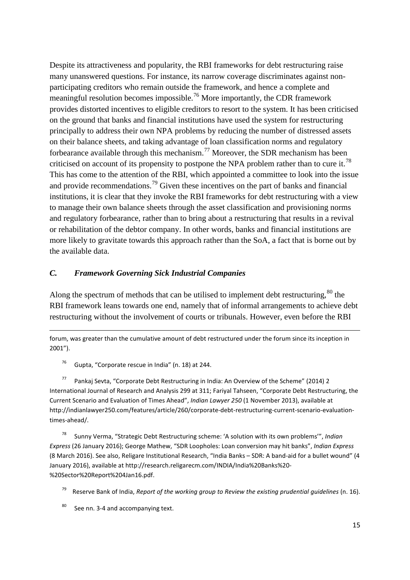Despite its attractiveness and popularity, the RBI frameworks for debt restructuring raise many unanswered questions. For instance, its narrow coverage discriminates against nonparticipating creditors who remain outside the framework, and hence a complete and meaningful resolution becomes impossible.<sup>[76](#page-16-0)</sup> More importantly, the CDR framework provides distorted incentives to eligible creditors to resort to the system. It has been criticised on the ground that banks and financial institutions have used the system for restructuring principally to address their own NPA problems by reducing the number of distressed assets on their balance sheets, and taking advantage of loan classification norms and regulatory forbearance available through this mechanism.<sup>[77](#page-16-1)</sup> Moreover, the SDR mechanism has been criticised on account of its propensity to postpone the NPA problem rather than to cure it.<sup>[78](#page-16-2)</sup> This has come to the attention of the RBI, which appointed a committee to look into the issue and provide recommendations.<sup>[79](#page-16-3)</sup> Given these incentives on the part of banks and financial institutions, it is clear that they invoke the RBI frameworks for debt restructuring with a view to manage their own balance sheets through the asset classification and provisioning norms and regulatory forbearance, rather than to bring about a restructuring that results in a revival or rehabilitation of the debtor company. In other words, banks and financial institutions are more likely to gravitate towards this approach rather than the SoA, a fact that is borne out by the available data.

#### *C. Framework Governing Sick Industrial Companies*

Along the spectrum of methods that can be utilised to implement debt restructuring,<sup>[80](#page-16-4)</sup> the RBI framework leans towards one end, namely that of informal arrangements to achieve debt restructuring without the involvement of courts or tribunals. However, even before the RBI

forum, was greater than the cumulative amount of debt restructured under the forum since its inception in 2001").

<sup>76</sup> Gupta, "Corporate rescue in India" (n. [18\)](#page-5-0) at 244.

**.** 

<span id="page-16-1"></span><span id="page-16-0"></span><sup>77</sup> Pankaj Sevta, "Corporate Debt Restructuring in India: An Overview of the Scheme" (2014) 2 International Journal of Research and Analysis 299 at 311; Fariyal Tahseen, "Corporate Debt Restructuring, the Current Scenario and Evaluation of Times Ahead", *Indian Lawyer 250* (1 November 2013), available at http://indianlawyer250.com/features/article/260/corporate-debt-restructuring-current-scenario-evaluationtimes-ahead/.

<span id="page-16-2"></span><sup>78</sup> Sunny Verma, "Strategic Debt Restructuring scheme: 'A solution with its own problems'", *Indian Express* (26 January 2016); George Mathew, "SDR Loopholes: Loan conversion may hit banks", *Indian Express*  (8 March 2016). See also, Religare Institutional Research, "India Banks – SDR: A band-aid for a bullet wound" (4 January 2016), available at http://research.religarecm.com/INDIA/India%20Banks%20- %20Sector%20Report%204Jan16.pdf.

<span id="page-16-3"></span><sup>79</sup> Reserve Bank of India, *Report of the working group to Review the existing prudential guidelines* (n[. 16\)](#page-4-9).

<span id="page-16-4"></span>80 See nn. [3](#page-2-5)[-4](#page-2-6) and accompanying text.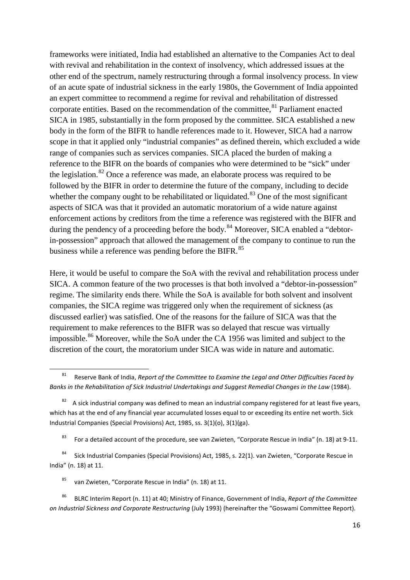frameworks were initiated, India had established an alternative to the Companies Act to deal with revival and rehabilitation in the context of insolvency, which addressed issues at the other end of the spectrum, namely restructuring through a formal insolvency process. In view of an acute spate of industrial sickness in the early 1980s, the Government of India appointed an expert committee to recommend a regime for revival and rehabilitation of distressed corporate entities. Based on the recommendation of the committee,  $81$  Parliament enacted SICA in 1985, substantially in the form proposed by the committee. SICA established a new body in the form of the BIFR to handle references made to it. However, SICA had a narrow scope in that it applied only "industrial companies" as defined therein, which excluded a wide range of companies such as services companies. SICA placed the burden of making a reference to the BIFR on the boards of companies who were determined to be "sick" under the legislation.<sup>[82](#page-17-1)</sup> Once a reference was made, an elaborate process was required to be followed by the BIFR in order to determine the future of the company, including to decide whether the company ought to be rehabilitated or liquidated.<sup>[83](#page-17-2)</sup> One of the most significant aspects of SICA was that it provided an automatic moratorium of a wide nature against enforcement actions by creditors from the time a reference was registered with the BIFR and during the pendency of a proceeding before the body.<sup>[84](#page-17-3)</sup> Moreover, SICA enabled a "debtorin-possession" approach that allowed the management of the company to continue to run the business while a reference was pending before the BIFR.<sup>[85](#page-17-4)</sup>

Here, it would be useful to compare the SoA with the revival and rehabilitation process under SICA. A common feature of the two processes is that both involved a "debtor-in-possession" regime. The similarity ends there. While the SoA is available for both solvent and insolvent companies, the SICA regime was triggered only when the requirement of sickness (as discussed earlier) was satisfied. One of the reasons for the failure of SICA was that the requirement to make references to the BIFR was so delayed that rescue was virtually impossible.<sup>[86](#page-17-5)</sup> Moreover, while the SoA under the CA 1956 was limited and subject to the discretion of the court, the moratorium under SICA was wide in nature and automatic.

<sup>85</sup> van Zwieten, "Corporate Rescue in India" (n[. 18\)](#page-5-0) at 11.

<span id="page-17-5"></span><span id="page-17-4"></span><sup>86</sup> BLRC Interim Report (n. [11\)](#page-4-8) at 40; Ministry of Finance, Government of India, *Report of the Committee on Industrial Sickness and Corporate Restructuring* (July 1993) (hereinafter the "Goswami Committee Report).

<span id="page-17-6"></span><span id="page-17-0"></span> <sup>81</sup> Reserve Bank of India, *Report of the Committee to Examine the Legal and Other Difficulties Faced by Banks in the Rehabilitation of Sick Industrial Undertakings and Suggest Remedial Changes in the Law* (1984).

<span id="page-17-1"></span>A sick industrial company was defined to mean an industrial company registered for at least five years, which has at the end of any financial year accumulated losses equal to or exceeding its entire net worth. Sick Industrial Companies (Special Provisions) Act, 1985, ss. 3(1)(o), 3(1)(ga).

<sup>&</sup>lt;sup>83</sup> For a detailed account of the procedure, see van Zwieten, "Corporate Rescue in India" (n[. 18\)](#page-5-0) at 9-11.

<span id="page-17-3"></span><span id="page-17-2"></span><sup>84</sup> Sick Industrial Companies (Special Provisions) Act, 1985, s. 22(1). van Zwieten, "Corporate Rescue in India" (n[. 18\)](#page-5-0) at 11.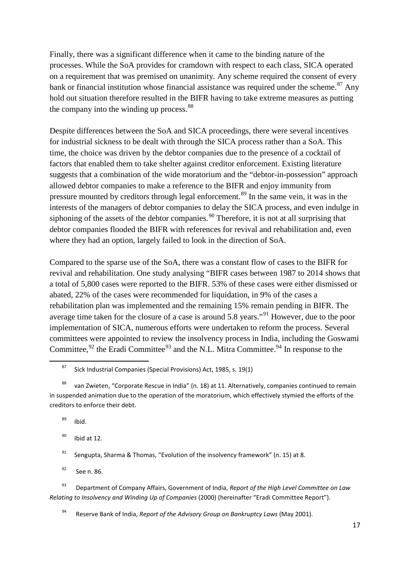Finally, there was a significant difference when it came to the binding nature of the processes. While the SoA provides for cramdown with respect to each class, SICA operated on a requirement that was premised on unanimity. Any scheme required the consent of every bank or financial institution whose financial assistance was required under the scheme.<sup>[87](#page-18-0)</sup> Any hold out situation therefore resulted in the BIFR having to take extreme measures as putting the company into the winding up process.<sup>[88](#page-18-1)</sup>

Despite differences between the SoA and SICA proceedings, there were several incentives for industrial sickness to be dealt with through the SICA process rather than a SoA. This time, the choice was driven by the debtor companies due to the presence of a cocktail of factors that enabled them to take shelter against creditor enforcement. Existing literature suggests that a combination of the wide moratorium and the "debtor-in-possession" approach allowed debtor companies to make a reference to the BIFR and enjoy immunity from pressure mounted by creditors through legal enforcement.[89](#page-18-2) In the same vein, it was in the interests of the managers of debtor companies to delay the SICA process, and even indulge in siphoning of the assets of the debtor companies.<sup>[90](#page-18-3)</sup> Therefore, it is not at all surprising that debtor companies flooded the BIFR with references for revival and rehabilitation and, even where they had an option, largely failed to look in the direction of SoA.

Compared to the sparse use of the SoA, there was a constant flow of cases to the BIFR for revival and rehabilitation. One study analysing "BIFR cases between 1987 to 2014 shows that a total of 5,800 cases were reported to the BIFR. 53% of these cases were either dismissed or abated, 22% of the cases were recommended for liquidation, in 9% of the cases a rehabilitation plan was implemented and the remaining 15% remain pending in BIFR. The average time taken for the closure of a case is around 5.8 years."[91](#page-18-4) However, due to the poor implementation of SICA, numerous efforts were undertaken to reform the process. Several committees were appointed to review the insolvency process in India, including the Goswami Committee,  $92$  the Eradi Committee  $93$  and the N.L. Mitra Committee.  $94$  In response to the

<span id="page-18-2"></span> $89$  Ibid.

<span id="page-18-3"></span> $90$  Ibid at 12.

<sup>91</sup> Sengupta, Sharma & Thomas, "Evolution of the insolvency framework" (n[. 15\)](#page-4-0) at 8.

 $92$  See n. [86.](#page-17-6)

<span id="page-18-7"></span><span id="page-18-6"></span><span id="page-18-5"></span><span id="page-18-4"></span><sup>93</sup> Department of Company Affairs, Government of India, *Report of the High Level Committee on Law Relating to Insolvency and Winding Up of Companies* (2000) (hereinafter "Eradi Committee Report").

<sup>94</sup> Reserve Bank of India, *Report of the Advisory Group on Bankruptcy Laws* (May 2001).

<span id="page-18-8"></span><sup>&</sup>lt;sup>87</sup> Sick Industrial Companies (Special Provisions) Act, 1985, s. 19(1)

<span id="page-18-1"></span><span id="page-18-0"></span><sup>88</sup> van Zwieten, "Corporate Rescue in India" (n[. 18\)](#page-5-0) at 11. Alternatively, companies continued to remain in suspended animation due to the operation of the moratorium, which effectively stymied the efforts of the creditors to enforce their debt.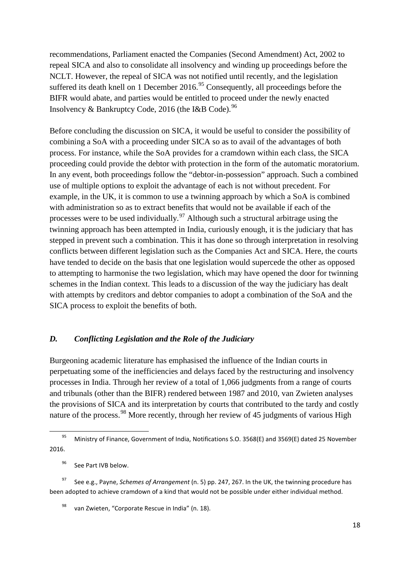recommendations, Parliament enacted the Companies (Second Amendment) Act, 2002 to repeal SICA and also to consolidate all insolvency and winding up proceedings before the NCLT. However, the repeal of SICA was not notified until recently, and the legislation suffered its death knell on 1 December 2016.<sup>[95](#page-19-0)</sup> Consequently, all proceedings before the BIFR would abate, and parties would be entitled to proceed under the newly enacted Insolvency & Bankruptcy Code, 2016 (the I&B Code).<sup>[96](#page-19-1)</sup>

Before concluding the discussion on SICA, it would be useful to consider the possibility of combining a SoA with a proceeding under SICA so as to avail of the advantages of both process. For instance, while the SoA provides for a cramdown within each class, the SICA proceeding could provide the debtor with protection in the form of the automatic moratorium. In any event, both proceedings follow the "debtor-in-possession" approach. Such a combined use of multiple options to exploit the advantage of each is not without precedent. For example, in the UK, it is common to use a twinning approach by which a SoA is combined with administration so as to extract benefits that would not be available if each of the processes were to be used individually.<sup>[97](#page-19-2)</sup> Although such a structural arbitrage using the twinning approach has been attempted in India, curiously enough, it is the judiciary that has stepped in prevent such a combination. This it has done so through interpretation in resolving conflicts between different legislation such as the Companies Act and SICA. Here, the courts have tended to decide on the basis that one legislation would supercede the other as opposed to attempting to harmonise the two legislation, which may have opened the door for twinning schemes in the Indian context. This leads to a discussion of the way the judiciary has dealt with attempts by creditors and debtor companies to adopt a combination of the SoA and the SICA process to exploit the benefits of both.

#### *D. Conflicting Legislation and the Role of the Judiciary*

Burgeoning academic literature has emphasised the influence of the Indian courts in perpetuating some of the inefficiencies and delays faced by the restructuring and insolvency processes in India. Through her review of a total of 1,066 judgments from a range of courts and tribunals (other than the BIFR) rendered between 1987 and 2010, van Zwieten analyses the provisions of SICA and its interpretation by courts that contributed to the tardy and costly nature of the process.<sup>[98](#page-19-3)</sup> More recently, through her review of 45 judgments of various High

<span id="page-19-0"></span><sup>&</sup>lt;sup>95</sup> Ministry of Finance, Government of India, Notifications S.O. 3568(E) and 3569(E) dated 25 November 2016.

<sup>&</sup>lt;sup>96</sup> See Part IVB below.

<span id="page-19-3"></span><span id="page-19-2"></span><span id="page-19-1"></span><sup>97</sup> See e.g., Payne, *Schemes of Arrangement* (n. [5\)](#page-3-0) pp. 247, 267. In the UK, the twinning procedure has been adopted to achieve cramdown of a kind that would not be possible under either individual method.

van Zwieten, "Corporate Rescue in India" (n[. 18\)](#page-5-0).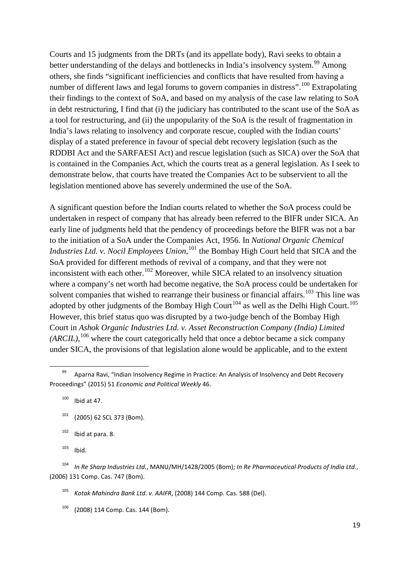Courts and 15 judgments from the DRTs (and its appellate body), Ravi seeks to obtain a better understanding of the delays and bottlenecks in India's insolvency system.<sup>[99](#page-20-0)</sup> Among others, she finds "significant inefficiencies and conflicts that have resulted from having a number of different laws and legal forums to govern companies in distress".<sup>[100](#page-20-1)</sup> Extrapolating their findings to the context of SoA, and based on my analysis of the case law relating to SoA in debt restructuring, I find that (i) the judiciary has contributed to the scant use of the SoA as a tool for restructuring, and (ii) the unpopularity of the SoA is the result of fragmentation in India's laws relating to insolvency and corporate rescue, coupled with the Indian courts' display of a stated preference in favour of special debt recovery legislation (such as the RDDBI Act and the SARFAESI Act) and rescue legislation (such as SICA) over the SoA that is contained in the Companies Act, which the courts treat as a general legislation. As I seek to demonstrate below, that courts have treated the Companies Act to be subservient to all the legislation mentioned above has severely undermined the use of the SoA.

A significant question before the Indian courts related to whether the SoA process could be undertaken in respect of company that has already been referred to the BIFR under SICA. An early line of judgments held that the pendency of proceedings before the BIFR was not a bar to the initiation of a SoA under the Companies Act, 1956. In *National Organic Chemical Industries Ltd. v. Nocil Employees Union*,<sup>[101](#page-20-2)</sup> the Bombay High Court held that SICA and the SoA provided for different methods of revival of a company, and that they were not inconsistent with each other.<sup>[102](#page-20-3)</sup> Moreover, while SICA related to an insolvency situation where a company's net worth had become negative, the SoA process could be undertaken for solvent companies that wished to rearrange their business or financial affairs.<sup>[103](#page-20-4)</sup> This line was adopted by other judgments of the Bombay High Court<sup>[104](#page-20-5)</sup> as well as the Delhi High Court.<sup>[105](#page-20-6)</sup> However, this brief status quo was disrupted by a two-judge bench of the Bombay High Court in *Ashok Organic Industries Ltd. v. Asset Reconstruction Company (India) Limited*   $(ARCH)$ ,  $^{106}$  $^{106}$  $^{106}$  where the court categorically held that once a debtor became a sick company under SICA, the provisions of that legislation alone would be applicable, and to the extent

 $100$  Ibid at 47.

- <span id="page-20-2"></span> $101$  (2005) 62 SCL 373 (Bom).
- $102$  Ibid at para. 8.
- $103$  Ibid.

<sup>105</sup> *Kotak Mahindra Bank Ltd. v. AAIFR*, (2008) 144 Comp. Cas. 588 (Del).

<span id="page-20-7"></span><sup>106</sup> (2008) 114 Comp. Cas. 144 (Bom).

<span id="page-20-1"></span><span id="page-20-0"></span><sup>99</sup> Aparna Ravi, "Indian Insolvency Regime in Practice: An Analysis of Insolvency and Debt Recovery Proceedings" (2015) 51 *Economic and Political Weekly* 46.

<span id="page-20-6"></span><span id="page-20-5"></span><span id="page-20-4"></span><span id="page-20-3"></span><sup>104</sup> *In Re Sharp Industries Ltd.*, MANU/MH/1428/2005 (Bom); *In Re Pharmaceutical Products of India Ltd.*, (2006) 131 Comp. Cas. 747 (Bom).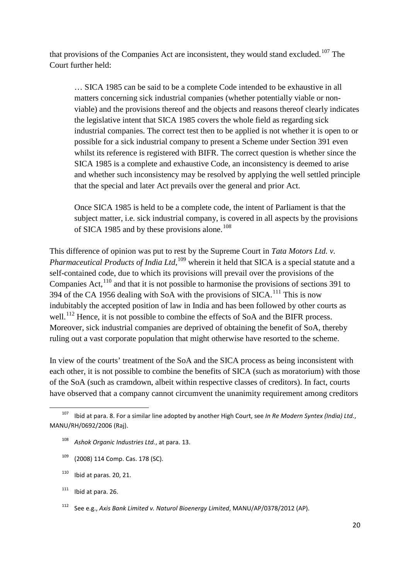that provisions of the Companies Act are inconsistent, they would stand excluded.<sup>[107](#page-21-0)</sup> The Court further held:

… SICA 1985 can be said to be a complete Code intended to be exhaustive in all matters concerning sick industrial companies (whether potentially viable or nonviable) and the provisions thereof and the objects and reasons thereof clearly indicates the legislative intent that SICA 1985 covers the whole field as regarding sick industrial companies. The correct test then to be applied is not whether it is open to or possible for a sick industrial company to present a Scheme under Section 391 even whilst its reference is registered with BIFR. The correct question is whether since the SICA 1985 is a complete and exhaustive Code, an inconsistency is deemed to arise and whether such inconsistency may be resolved by applying the well settled principle that the special and later Act prevails over the general and prior Act.

Once SICA 1985 is held to be a complete code, the intent of Parliament is that the subject matter, i.e. sick industrial company, is covered in all aspects by the provisions of SICA 1985 and by these provisions alone.<sup>[108](#page-21-1)</sup>

This difference of opinion was put to rest by the Supreme Court in *Tata Motors Ltd. v. Pharmaceutical Products of India Ltd*, [109](#page-21-2) wherein it held that SICA is a special statute and a self-contained code, due to which its provisions will prevail over the provisions of the Companies Act,  $110$  and that it is not possible to harmonise the provisions of sections 391 to 394 of the CA 1956 dealing with SoA with the provisions of SICA.<sup>[111](#page-21-4)</sup> This is now indubitably the accepted position of law in India and has been followed by other courts as well.<sup>[112](#page-21-5)</sup> Hence, it is not possible to combine the effects of SoA and the BIFR process. Moreover, sick industrial companies are deprived of obtaining the benefit of SoA, thereby ruling out a vast corporate population that might otherwise have resorted to the scheme.

In view of the courts' treatment of the SoA and the SICA process as being inconsistent with each other, it is not possible to combine the benefits of SICA (such as moratorium) with those of the SoA (such as cramdown, albeit within respective classes of creditors). In fact, courts have observed that a company cannot circumvent the unanimity requirement among creditors

<span id="page-21-1"></span><span id="page-21-0"></span> <sup>107</sup> Ibid at para. 8. For a similar line adopted by another High Court, see *In Re Modern Syntex (India) Ltd.*, MANU/RH/0692/2006 (Raj).

<sup>108</sup> *Ashok Organic Industries Ltd.*, at para. 13.

<span id="page-21-2"></span><sup>109</sup> (2008) 114 Comp. Cas. 178 (SC).

<span id="page-21-3"></span> $110$  Ibid at paras. 20, 21.

<span id="page-21-4"></span> $111$  Ibid at para. 26.

<span id="page-21-5"></span><sup>112</sup> See e.g., *Axis Bank Limited v. Naturol Bioenergy Limited*, MANU/AP/0378/2012 (AP).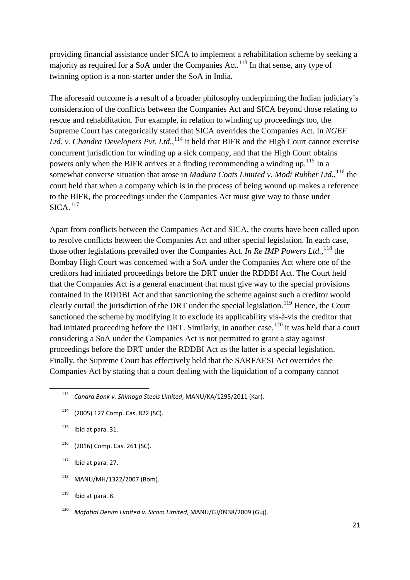providing financial assistance under SICA to implement a rehabilitation scheme by seeking a majority as required for a SoA under the Companies Act.<sup>[113](#page-22-0)</sup> In that sense, any type of twinning option is a non-starter under the SoA in India.

The aforesaid outcome is a result of a broader philosophy underpinning the Indian judiciary's consideration of the conflicts between the Companies Act and SICA beyond those relating to rescue and rehabilitation. For example, in relation to winding up proceedings too, the Supreme Court has categorically stated that SICA overrides the Companies Act. In *NGEF*  Ltd. v. Chandra Developers Pvt. Ltd., <sup>[114](#page-22-1)</sup> it held that BIFR and the High Court cannot exercise concurrent jurisdiction for winding up a sick company, and that the High Court obtains powers only when the BIFR arrives at a finding recommending a winding up.<sup>[115](#page-22-2)</sup> In a somewhat converse situation that arose in *Madura Coats Limited v. Modi Rubber Ltd.*, <sup>[116](#page-22-3)</sup> the court held that when a company which is in the process of being wound up makes a reference to the BIFR, the proceedings under the Companies Act must give way to those under  $SICA.$ <sup>[117](#page-22-4)</sup>

Apart from conflicts between the Companies Act and SICA, the courts have been called upon to resolve conflicts between the Companies Act and other special legislation. In each case, those other legislations prevailed over the Companies Act. *In Re IMP Powers Ltd.*, [118](#page-22-5) the Bombay High Court was concerned with a SoA under the Companies Act where one of the creditors had initiated proceedings before the DRT under the RDDBI Act. The Court held that the Companies Act is a general enactment that must give way to the special provisions contained in the RDDBI Act and that sanctioning the scheme against such a creditor would clearly curtail the jurisdiction of the DRT under the special legislation.<sup>[119](#page-22-6)</sup> Hence, the Court sanctioned the scheme by modifying it to exclude its applicability vis-à-vis the creditor that had initiated proceeding before the DRT. Similarly, in another case,  $120$  it was held that a court considering a SoA under the Companies Act is not permitted to grant a stay against proceedings before the DRT under the RDDBI Act as the latter is a special legislation. Finally, the Supreme Court has effectively held that the SARFAESI Act overrides the Companies Act by stating that a court dealing with the liquidation of a company cannot

- <span id="page-22-1"></span><sup>114</sup> (2005) 127 Comp. Cas. 822 (SC).
- <span id="page-22-2"></span> $115$  Ibid at para. 31.
- <span id="page-22-3"></span><sup>116</sup> (2016) Comp. Cas. 261 (SC).

<span id="page-22-4"></span> $117$  Ibid at para. 27.

- <span id="page-22-5"></span><sup>118</sup> MANU/MH/1322/2007 (Bom).
- <span id="page-22-6"></span> $119$  Ibid at para, 8.
- <span id="page-22-7"></span><sup>120</sup> *Mafatlal Denim Limited v. Sicom Limited*, MANU/GJ/0938/2009 (Guj).

<span id="page-22-0"></span> <sup>113</sup> *Canara Bank v. Shimoga Steels Limited*, MANU/KA/1295/2011 (Kar).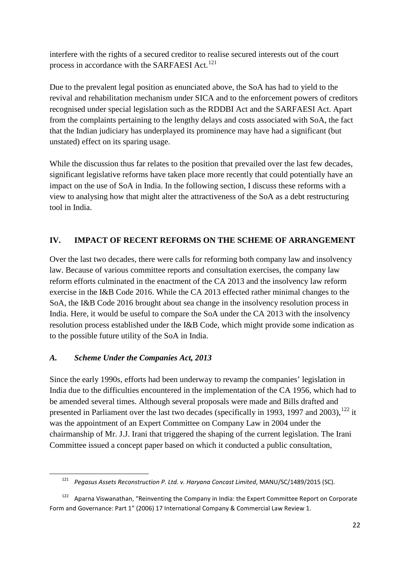interfere with the rights of a secured creditor to realise secured interests out of the court process in accordance with the SARFAESI Act.<sup>[121](#page-23-0)</sup>

Due to the prevalent legal position as enunciated above, the SoA has had to yield to the revival and rehabilitation mechanism under SICA and to the enforcement powers of creditors recognised under special legislation such as the RDDBI Act and the SARFAESI Act. Apart from the complaints pertaining to the lengthy delays and costs associated with SoA, the fact that the Indian judiciary has underplayed its prominence may have had a significant (but unstated) effect on its sparing usage.

While the discussion thus far relates to the position that prevailed over the last few decades, significant legislative reforms have taken place more recently that could potentially have an impact on the use of SoA in India. In the following section, I discuss these reforms with a view to analysing how that might alter the attractiveness of the SoA as a debt restructuring tool in India.

## **IV. IMPACT OF RECENT REFORMS ON THE SCHEME OF ARRANGEMENT**

Over the last two decades, there were calls for reforming both company law and insolvency law. Because of various committee reports and consultation exercises, the company law reform efforts culminated in the enactment of the CA 2013 and the insolvency law reform exercise in the I&B Code 2016. While the CA 2013 effected rather minimal changes to the SoA, the I&B Code 2016 brought about sea change in the insolvency resolution process in India. Here, it would be useful to compare the SoA under the CA 2013 with the insolvency resolution process established under the I&B Code, which might provide some indication as to the possible future utility of the SoA in India.

## *A. Scheme Under the Companies Act, 2013*

Since the early 1990s, efforts had been underway to revamp the companies' legislation in India due to the difficulties encountered in the implementation of the CA 1956, which had to be amended several times. Although several proposals were made and Bills drafted and presented in Parliament over the last two decades (specifically in 1993, 1997 and 2003),<sup>[122](#page-23-1)</sup> it was the appointment of an Expert Committee on Company Law in 2004 under the chairmanship of Mr. J.J. Irani that triggered the shaping of the current legislation. The Irani Committee issued a concept paper based on which it conducted a public consultation,

 <sup>121</sup> *Pegasus Assets Reconstruction P. Ltd. v. Haryana Concast Limited*, MANU/SC/1489/2015 (SC).

<span id="page-23-1"></span><span id="page-23-0"></span><sup>122</sup> Aparna Viswanathan, "Reinventing the Company in India: the Expert Committee Report on Corporate Form and Governance: Part 1" (2006) 17 International Company & Commercial Law Review 1.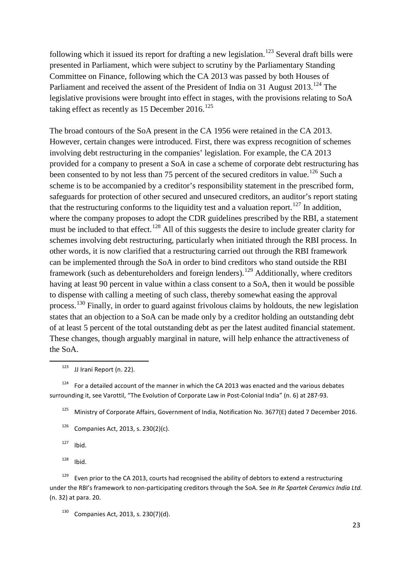following which it issued its report for drafting a new legislation.<sup>[123](#page-24-0)</sup> Several draft bills were presented in Parliament, which were subject to scrutiny by the Parliamentary Standing Committee on Finance, following which the CA 2013 was passed by both Houses of Parliament and received the assent of the President of India on 31 August  $2013$ .<sup>[124](#page-24-1)</sup> The legislative provisions were brought into effect in stages, with the provisions relating to SoA taking effect as recently as 15 December 2016.<sup>[125](#page-24-2)</sup>

The broad contours of the SoA present in the CA 1956 were retained in the CA 2013. However, certain changes were introduced. First, there was express recognition of schemes involving debt restructuring in the companies' legislation. For example, the CA 2013 provided for a company to present a SoA in case a scheme of corporate debt restructuring has been consented to by not less than 75 percent of the secured creditors in value.<sup>[126](#page-24-3)</sup> Such a scheme is to be accompanied by a creditor's responsibility statement in the prescribed form, safeguards for protection of other secured and unsecured creditors, an auditor's report stating that the restructuring conforms to the liquidity test and a valuation report.<sup>[127](#page-24-4)</sup> In addition, where the company proposes to adopt the CDR guidelines prescribed by the RBI, a statement must be included to that effect.<sup>[128](#page-24-5)</sup> All of this suggests the desire to include greater clarity for schemes involving debt restructuring, particularly when initiated through the RBI process. In other words, it is now clarified that a restructuring carried out through the RBI framework can be implemented through the SoA in order to bind creditors who stand outside the RBI framework (such as debentureholders and foreign lenders).<sup>[129](#page-24-6)</sup> Additionally, where creditors having at least 90 percent in value within a class consent to a SoA, then it would be possible to dispense with calling a meeting of such class, thereby somewhat easing the approval process.[130](#page-24-7) Finally, in order to guard against frivolous claims by holdouts, the new legislation states that an objection to a SoA can be made only by a creditor holding an outstanding debt of at least 5 percent of the total outstanding debt as per the latest audited financial statement. These changes, though arguably marginal in nature, will help enhance the attractiveness of the SoA.

 $123$  JJ Irani Report (n. [22\)](#page-5-7).

<span id="page-24-2"></span><span id="page-24-1"></span><span id="page-24-0"></span><sup>124</sup> For a detailed account of the manner in which the CA 2013 was enacted and the various debates surrounding it, see Varottil, "The Evolution of Corporate Law in Post-Colonial India" (n[. 6\)](#page-3-8) at 287-93.

<sup>125</sup> Ministry of Corporate Affairs, Government of India, Notification No. 3677(E) dated 7 December 2016.

- <span id="page-24-3"></span> $126$  Companies Act, 2013, s. 230(2)(c).
- $127$  Ibid.
- $128$  Ibid.

<span id="page-24-6"></span><span id="page-24-5"></span><span id="page-24-4"></span><sup>129</sup> Even prior to the CA 2013, courts had recognised the ability of debtors to extend a restructuring under the RBI's framework to non-participating creditors through the SoA. See *In Re Spartek Ceramics India Ltd.* (n. [32\)](#page-7-6) at para. 20.

<span id="page-24-7"></span> $130$  Companies Act, 2013, s. 230(7)(d).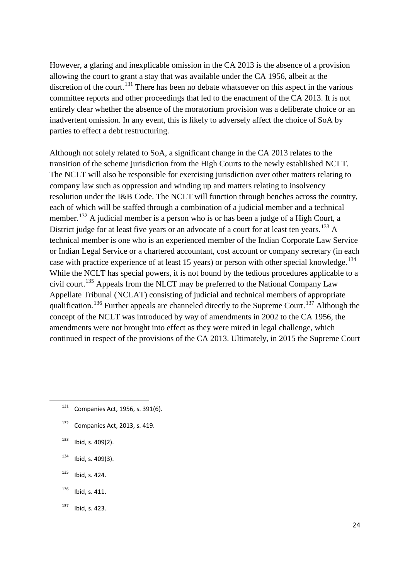However, a glaring and inexplicable omission in the CA 2013 is the absence of a provision allowing the court to grant a stay that was available under the CA 1956, albeit at the discretion of the court.<sup>[131](#page-25-0)</sup> There has been no debate whatsoever on this aspect in the various committee reports and other proceedings that led to the enactment of the CA 2013. It is not entirely clear whether the absence of the moratorium provision was a deliberate choice or an inadvertent omission. In any event, this is likely to adversely affect the choice of SoA by parties to effect a debt restructuring.

Although not solely related to SoA, a significant change in the CA 2013 relates to the transition of the scheme jurisdiction from the High Courts to the newly established NCLT. The NCLT will also be responsible for exercising jurisdiction over other matters relating to company law such as oppression and winding up and matters relating to insolvency resolution under the I&B Code. The NCLT will function through benches across the country, each of which will be staffed through a combination of a judicial member and a technical member.<sup>[132](#page-25-1)</sup> A judicial member is a person who is or has been a judge of a High Court, a District judge for at least five years or an advocate of a court for at least ten years.<sup>[133](#page-25-2)</sup> A technical member is one who is an experienced member of the Indian Corporate Law Service or Indian Legal Service or a chartered accountant, cost account or company secretary (in each case with practice experience of at least 15 years) or person with other special knowledge.<sup>[134](#page-25-3)</sup> While the NCLT has special powers, it is not bound by the tedious procedures applicable to a civil court.<sup>[135](#page-25-4)</sup> Appeals from the NLCT may be preferred to the National Company Law Appellate Tribunal (NCLAT) consisting of judicial and technical members of appropriate qualification.<sup>[136](#page-25-5)</sup> Further appeals are channeled directly to the Supreme Court.<sup>[137](#page-25-6)</sup> Although the concept of the NCLT was introduced by way of amendments in 2002 to the CA 1956, the amendments were not brought into effect as they were mired in legal challenge, which continued in respect of the provisions of the CA 2013. Ultimately, in 2015 the Supreme Court

- <span id="page-25-0"></span>131 Companies Act, 1956, s. 391(6).
- <span id="page-25-1"></span> $132$  Companies Act, 2013, s. 419.
- <span id="page-25-2"></span> $133$  Ibid, s. 409(2).
- <span id="page-25-3"></span> $134$  Ibid, s. 409(3).
- <span id="page-25-4"></span> $135$  Ibid, s. 424.
- <span id="page-25-5"></span> $136$  Ibid, s. 411.
- <span id="page-25-6"></span><sup>137</sup> Ibid, s. 423.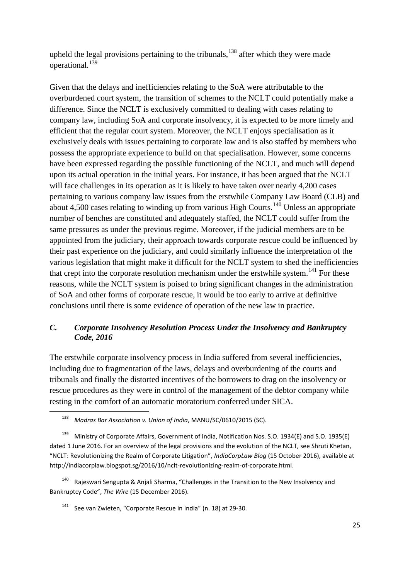upheld the legal provisions pertaining to the tribunals,  $138$  after which they were made operational.<sup>[139](#page-26-1)</sup>

Given that the delays and inefficiencies relating to the SoA were attributable to the overburdened court system, the transition of schemes to the NCLT could potentially make a difference. Since the NCLT is exclusively committed to dealing with cases relating to company law, including SoA and corporate insolvency, it is expected to be more timely and efficient that the regular court system. Moreover, the NCLT enjoys specialisation as it exclusively deals with issues pertaining to corporate law and is also staffed by members who possess the appropriate experience to build on that specialisation. However, some concerns have been expressed regarding the possible functioning of the NCLT, and much will depend upon its actual operation in the initial years. For instance, it has been argued that the NCLT will face challenges in its operation as it is likely to have taken over nearly 4,200 cases pertaining to various company law issues from the erstwhile Company Law Board (CLB) and about 4,500 cases relating to winding up from various High Courts.<sup>[140](#page-26-2)</sup> Unless an appropriate number of benches are constituted and adequately staffed, the NCLT could suffer from the same pressures as under the previous regime. Moreover, if the judicial members are to be appointed from the judiciary, their approach towards corporate rescue could be influenced by their past experience on the judiciary, and could similarly influence the interpretation of the various legislation that might make it difficult for the NCLT system to shed the inefficiencies that crept into the corporate resolution mechanism under the erstwhile system.<sup>[141](#page-26-3)</sup> For these reasons, while the NCLT system is poised to bring significant changes in the administration of SoA and other forms of corporate rescue, it would be too early to arrive at definitive conclusions until there is some evidence of operation of the new law in practice.

## *C. Corporate Insolvency Resolution Process Under the Insolvency and Bankruptcy Code, 2016*

The erstwhile corporate insolvency process in India suffered from several inefficiencies, including due to fragmentation of the laws, delays and overburdening of the courts and tribunals and finally the distorted incentives of the borrowers to drag on the insolvency or rescue procedures as they were in control of the management of the debtor company while resting in the comfort of an automatic moratorium conferred under SICA.

<span id="page-26-3"></span><span id="page-26-2"></span>Rajeswari Sengupta & Anjali Sharma, "Challenges in the Transition to the New Insolvency and Bankruptcy Code", *The Wire* (15 December 2016).

<sup>141</sup> See van Zwieten, "Corporate Rescue in India" (n. [18\)](#page-5-0) at 29-30.

 <sup>138</sup> *Madras Bar Association v. Union of India*, MANU/SC/0610/2015 (SC).

<span id="page-26-1"></span><span id="page-26-0"></span><sup>139</sup> Ministry of Corporate Affairs, Government of India, Notification Nos. S.O. 1934(E) and S.O. 1935(E) dated 1 June 2016. For an overview of the legal provisions and the evolution of the NCLT, see Shruti Khetan, "NCLT: Revolutionizing the Realm of Corporate Litigation", *IndiaCorpLaw Blog* (15 October 2016), available at http://indiacorplaw.blogspot.sg/2016/10/nclt-revolutionizing-realm-of-corporate.html.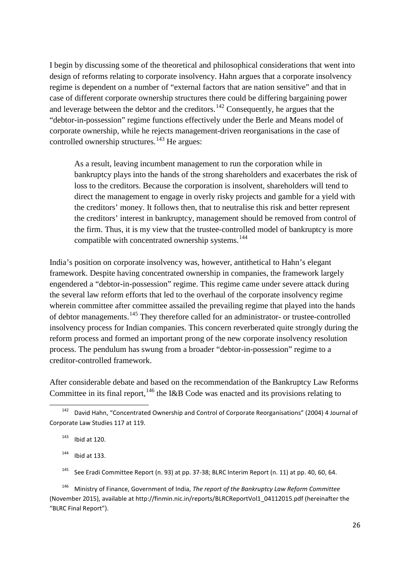I begin by discussing some of the theoretical and philosophical considerations that went into design of reforms relating to corporate insolvency. Hahn argues that a corporate insolvency regime is dependent on a number of "external factors that are nation sensitive" and that in case of different corporate ownership structures there could be differing bargaining power and leverage between the debtor and the creditors.[142](#page-27-0) Consequently, he argues that the "debtor-in-possession" regime functions effectively under the Berle and Means model of corporate ownership, while he rejects management-driven reorganisations in the case of controlled ownership structures.<sup>[143](#page-27-1)</sup> He argues:

<span id="page-27-6"></span>As a result, leaving incumbent management to run the corporation while in bankruptcy plays into the hands of the strong shareholders and exacerbates the risk of loss to the creditors. Because the corporation is insolvent, shareholders will tend to direct the management to engage in overly risky projects and gamble for a yield with the creditors' money. It follows then, that to neutralise this risk and better represent the creditors' interest in bankruptcy, management should be removed from control of the firm. Thus, it is my view that the trustee-controlled model of bankruptcy is more compatible with concentrated ownership systems.<sup>[144](#page-27-2)</sup>

India's position on corporate insolvency was, however, antithetical to Hahn's elegant framework. Despite having concentrated ownership in companies, the framework largely engendered a "debtor-in-possession" regime. This regime came under severe attack during the several law reform efforts that led to the overhaul of the corporate insolvency regime wherein committee after committee assailed the prevailing regime that played into the hands of debtor managements.<sup>[145](#page-27-3)</sup> They therefore called for an administrator- or trustee-controlled insolvency process for Indian companies. This concern reverberated quite strongly during the reform process and formed an important prong of the new corporate insolvency resolution process. The pendulum has swung from a broader "debtor-in-possession" regime to a creditor-controlled framework.

After considerable debate and based on the recommendation of the Bankruptcy Law Reforms Committee in its final report,  $146$  the I&B Code was enacted and its provisions relating to

 $144$  Ibid at 133.

<sup>145</sup> See Eradi Committee Report (n[. 93\)](#page-18-8) at pp. 37-38; BLRC Interim Report (n. [11\)](#page-4-8) at pp. 40, 60, 64.

<span id="page-27-4"></span><span id="page-27-3"></span><span id="page-27-2"></span><sup>146</sup> Ministry of Finance, Government of India, *The report of the Bankruptcy Law Reform Committee* (November 2015), available at http://finmin.nic.in/reports/BLRCReportVol1\_04112015.pdf (hereinafter the "BLRC Final Report").

<span id="page-27-1"></span><span id="page-27-0"></span> <sup>142</sup> David Hahn, "Concentrated Ownership and Control of Corporate Reorganisations" (2004) 4 Journal of Corporate Law Studies 117 at 119.

<span id="page-27-5"></span> $143$  Ibid at 120.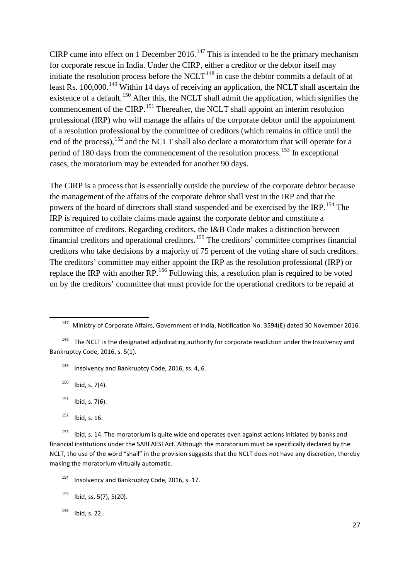CIRP came into effect on 1 December 2016.<sup>[147](#page-28-0)</sup> This is intended to be the primary mechanism for corporate rescue in India. Under the CIRP, either a creditor or the debtor itself may initiate the resolution process before the NCLT<sup>[148](#page-28-1)</sup> in case the debtor commits a default of at least Rs. 100,000.<sup>[149](#page-28-2)</sup> Within 14 days of receiving an application, the NCLT shall ascertain the existence of a default.<sup>[150](#page-28-3)</sup> After this, the NCLT shall admit the application, which signifies the commencement of the CIRP.<sup>[151](#page-28-4)</sup> Thereafter, the NCLT shall appoint an interim resolution professional (IRP) who will manage the affairs of the corporate debtor until the appointment of a resolution professional by the committee of creditors (which remains in office until the end of the process),  $152$  and the NCLT shall also declare a moratorium that will operate for a period of 180 days from the commencement of the resolution process.<sup>[153](#page-28-6)</sup> In exceptional cases, the moratorium may be extended for another 90 days.

The CIRP is a process that is essentially outside the purview of the corporate debtor because the management of the affairs of the corporate debtor shall vest in the IRP and that the powers of the board of directors shall stand suspended and be exercised by the IRP.<sup>[154](#page-28-7)</sup> The IRP is required to collate claims made against the corporate debtor and constitute a committee of creditors. Regarding creditors, the I&B Code makes a distinction between financial creditors and operational creditors.[155](#page-28-8) The creditors' committee comprises financial creditors who take decisions by a majority of 75 percent of the voting share of such creditors. The creditors' committee may either appoint the IRP as the resolution professional (IRP) or replace the IRP with another  $RP<sup>156</sup>$  $RP<sup>156</sup>$  $RP<sup>156</sup>$  Following this, a resolution plan is required to be voted on by the creditors' committee that must provide for the operational creditors to be repaid at

<sup>149</sup> Insolvency and Bankruptcy Code, 2016, ss. 4, 6.

<span id="page-28-3"></span> $150$  Ibid, s. 7(4).

- $151$  Ibid, s. 7(6).
- $152$  Ibid, s. 16.

<span id="page-28-6"></span><span id="page-28-5"></span><span id="page-28-4"></span> $153$  Ibid, s. 14. The moratorium is quite wide and operates even against actions initiated by banks and financial institutions under the SARFAESI Act. Although the moratorium must be specifically declared by the NCLT, the use of the word "shall" in the provision suggests that the NCLT does not have any discretion, thereby making the moratorium virtually automatic.

<span id="page-28-9"></span> $156$  Ibid, s. 22.

<sup>&</sup>lt;sup>147</sup> Ministry of Corporate Affairs, Government of India, Notification No. 3594(E) dated 30 November 2016.

<span id="page-28-2"></span><span id="page-28-1"></span><span id="page-28-0"></span>The NCLT is the designated adjudicating authority for corporate resolution under the Insolvency and Bankruptcy Code, 2016, s. 5(1).

<span id="page-28-7"></span>Insolvency and Bankruptcy Code, 2016, s. 17.

<span id="page-28-8"></span> $155$  Ibid, ss. 5(7), 5(20).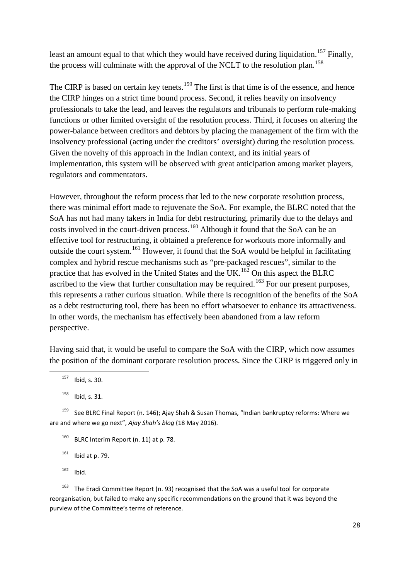least an amount equal to that which they would have received during liquidation.<sup>[157](#page-29-0)</sup> Finally, the process will culminate with the approval of the NCLT to the resolution plan.<sup>[158](#page-29-1)</sup>

The CIRP is based on certain key tenets.<sup>[159](#page-29-2)</sup> The first is that time is of the essence, and hence the CIRP hinges on a strict time bound process. Second, it relies heavily on insolvency professionals to take the lead, and leaves the regulators and tribunals to perform rule-making functions or other limited oversight of the resolution process. Third, it focuses on altering the power-balance between creditors and debtors by placing the management of the firm with the insolvency professional (acting under the creditors' oversight) during the resolution process. Given the novelty of this approach in the Indian context, and its initial years of implementation, this system will be observed with great anticipation among market players, regulators and commentators.

However, throughout the reform process that led to the new corporate resolution process, there was minimal effort made to rejuvenate the SoA. For example, the BLRC noted that the SoA has not had many takers in India for debt restructuring, primarily due to the delays and costs involved in the court-driven process.<sup>[160](#page-29-3)</sup> Although it found that the SoA can be an effective tool for restructuring, it obtained a preference for workouts more informally and outside the court system.<sup>[161](#page-29-4)</sup> However, it found that the SoA would be helpful in facilitating complex and hybrid rescue mechanisms such as "pre-packaged rescues", similar to the practice that has evolved in the United States and the UK.<sup>[162](#page-29-5)</sup> On this aspect the BLRC ascribed to the view that further consultation may be required.<sup>[163](#page-29-6)</sup> For our present purposes, this represents a rather curious situation. While there is recognition of the benefits of the SoA as a debt restructuring tool, there has been no effort whatsoever to enhance its attractiveness. In other words, the mechanism has effectively been abandoned from a law reform perspective.

Having said that, it would be useful to compare the SoA with the CIRP, which now assumes the position of the dominant corporate resolution process. Since the CIRP is triggered only in

<span id="page-29-6"></span><span id="page-29-5"></span><span id="page-29-4"></span><sup>163</sup> The Eradi Committee Report (n. [93\)](#page-18-8) recognised that the SoA was a useful tool for corporate reorganisation, but failed to make any specific recommendations on the ground that it was beyond the purview of the Committee's terms of reference.

 $157$  Ibid, s. 30.

 $158$  Ibid, s. 31.

<span id="page-29-3"></span><span id="page-29-2"></span><span id="page-29-1"></span><span id="page-29-0"></span><sup>&</sup>lt;sup>159</sup> See BLRC Final Report (n. [146\)](#page-27-5); Ajay Shah & Susan Thomas, "Indian bankruptcy reforms: Where we are and where we go next", *Ajay Shah's blog* (18 May 2016).

 $160$  BLRC Interim Report (n. [11\)](#page-4-8) at p. 78.

 $161$  Ibid at p. 79.

 $162$  Ibid.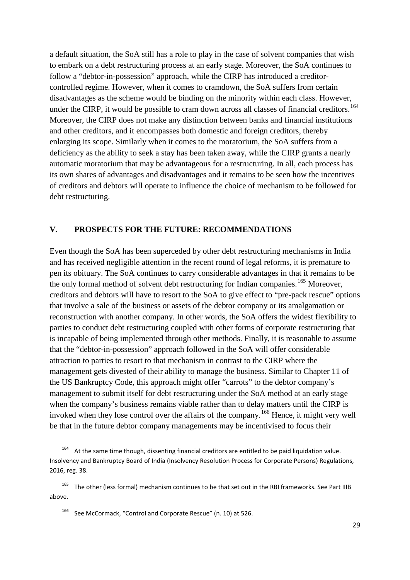a default situation, the SoA still has a role to play in the case of solvent companies that wish to embark on a debt restructuring process at an early stage. Moreover, the SoA continues to follow a "debtor-in-possession" approach, while the CIRP has introduced a creditorcontrolled regime. However, when it comes to cramdown, the SoA suffers from certain disadvantages as the scheme would be binding on the minority within each class. However, under the CIRP, it would be possible to cram down across all classes of financial creditors.<sup>[164](#page-30-0)</sup> Moreover, the CIRP does not make any distinction between banks and financial institutions and other creditors, and it encompasses both domestic and foreign creditors, thereby enlarging its scope. Similarly when it comes to the moratorium, the SoA suffers from a deficiency as the ability to seek a stay has been taken away, while the CIRP grants a nearly automatic moratorium that may be advantageous for a restructuring. In all, each process has its own shares of advantages and disadvantages and it remains to be seen how the incentives of creditors and debtors will operate to influence the choice of mechanism to be followed for debt restructuring.

### **V. PROSPECTS FOR THE FUTURE: RECOMMENDATIONS**

Even though the SoA has been superceded by other debt restructuring mechanisms in India and has received negligible attention in the recent round of legal reforms, it is premature to pen its obituary. The SoA continues to carry considerable advantages in that it remains to be the only formal method of solvent debt restructuring for Indian companies.<sup>[165](#page-30-1)</sup> Moreover, creditors and debtors will have to resort to the SoA to give effect to "pre-pack rescue" options that involve a sale of the business or assets of the debtor company or its amalgamation or reconstruction with another company. In other words, the SoA offers the widest flexibility to parties to conduct debt restructuring coupled with other forms of corporate restructuring that is incapable of being implemented through other methods. Finally, it is reasonable to assume that the "debtor-in-possession" approach followed in the SoA will offer considerable attraction to parties to resort to that mechanism in contrast to the CIRP where the management gets divested of their ability to manage the business. Similar to Chapter 11 of the US Bankruptcy Code, this approach might offer "carrots" to the debtor company's management to submit itself for debt restructuring under the SoA method at an early stage when the company's business remains viable rather than to delay matters until the CIRP is invoked when they lose control over the affairs of the company.<sup>[166](#page-30-2)</sup> Hence, it might very well be that in the future debtor company managements may be incentivised to focus their

<span id="page-30-0"></span>At the same time though, dissenting financial creditors are entitled to be paid liquidation value. Insolvency and Bankruptcy Board of India (Insolvency Resolution Process for Corporate Persons) Regulations, 2016, reg. 38.

<span id="page-30-2"></span><span id="page-30-1"></span><sup>165</sup> The other (less formal) mechanism continues to be that set out in the RBI frameworks. See Part IIIB above.

<sup>166</sup> See McCormack, "Control and Corporate Rescue" (n. [10\)](#page-3-9) at 526.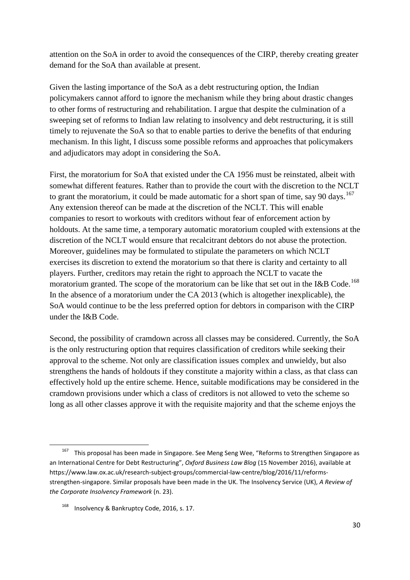attention on the SoA in order to avoid the consequences of the CIRP, thereby creating greater demand for the SoA than available at present.

Given the lasting importance of the SoA as a debt restructuring option, the Indian policymakers cannot afford to ignore the mechanism while they bring about drastic changes to other forms of restructuring and rehabilitation. I argue that despite the culmination of a sweeping set of reforms to Indian law relating to insolvency and debt restructuring, it is still timely to rejuvenate the SoA so that to enable parties to derive the benefits of that enduring mechanism. In this light, I discuss some possible reforms and approaches that policymakers and adjudicators may adopt in considering the SoA.

First, the moratorium for SoA that existed under the CA 1956 must be reinstated, albeit with somewhat different features. Rather than to provide the court with the discretion to the NCLT to grant the moratorium, it could be made automatic for a short span of time, say 90 days.<sup>[167](#page-31-0)</sup> Any extension thereof can be made at the discretion of the NCLT. This will enable companies to resort to workouts with creditors without fear of enforcement action by holdouts. At the same time, a temporary automatic moratorium coupled with extensions at the discretion of the NCLT would ensure that recalcitrant debtors do not abuse the protection. Moreover, guidelines may be formulated to stipulate the parameters on which NCLT exercises its discretion to extend the moratorium so that there is clarity and certainty to all players. Further, creditors may retain the right to approach the NCLT to vacate the moratorium granted. The scope of the moratorium can be like that set out in the I&B Code.<sup>[168](#page-31-1)</sup> In the absence of a moratorium under the CA 2013 (which is altogether inexplicable), the SoA would continue to be the less preferred option for debtors in comparison with the CIRP under the I&B Code.

Second, the possibility of cramdown across all classes may be considered. Currently, the SoA is the only restructuring option that requires classification of creditors while seeking their approval to the scheme. Not only are classification issues complex and unwieldy, but also strengthens the hands of holdouts if they constitute a majority within a class, as that class can effectively hold up the entire scheme. Hence, suitable modifications may be considered in the cramdown provisions under which a class of creditors is not allowed to veto the scheme so long as all other classes approve it with the requisite majority and that the scheme enjoys the

<span id="page-31-0"></span><sup>&</sup>lt;sup>167</sup> This proposal has been made in Singapore. See Meng Seng Wee, "Reforms to Strengthen Singapore as an International Centre for Debt Restructuring", *Oxford Business Law Blog* (15 November 2016), available at https://www.law.ox.ac.uk/research-subject-groups/commercial-law-centre/blog/2016/11/reformsstrengthen-singapore. Similar proposals have been made in the UK. The Insolvency Service (UK), *A Review of the Corporate Insolvency Framework* (n. [23\)](#page-5-8).

<span id="page-31-1"></span>Insolvency & Bankruptcy Code, 2016, s. 17.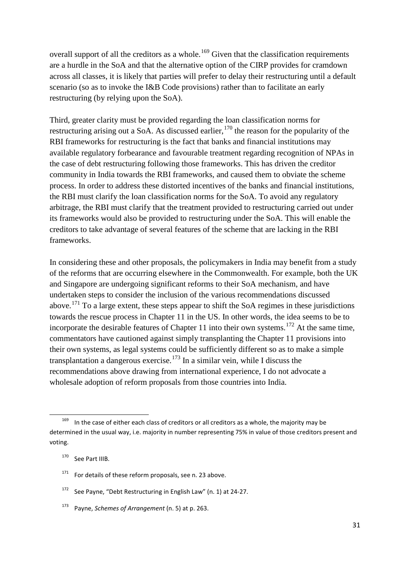overall support of all the creditors as a whole.<sup>[169](#page-32-0)</sup> Given that the classification requirements are a hurdle in the SoA and that the alternative option of the CIRP provides for cramdown across all classes, it is likely that parties will prefer to delay their restructuring until a default scenario (so as to invoke the I&B Code provisions) rather than to facilitate an early restructuring (by relying upon the SoA).

Third, greater clarity must be provided regarding the loan classification norms for restructuring arising out a SoA. As discussed earlier,  $170$  the reason for the popularity of the RBI frameworks for restructuring is the fact that banks and financial institutions may available regulatory forbearance and favourable treatment regarding recognition of NPAs in the case of debt restructuring following those frameworks. This has driven the creditor community in India towards the RBI frameworks, and caused them to obviate the scheme process. In order to address these distorted incentives of the banks and financial institutions, the RBI must clarify the loan classification norms for the SoA. To avoid any regulatory arbitrage, the RBI must clarify that the treatment provided to restructuring carried out under its frameworks would also be provided to restructuring under the SoA. This will enable the creditors to take advantage of several features of the scheme that are lacking in the RBI frameworks.

In considering these and other proposals, the policymakers in India may benefit from a study of the reforms that are occurring elsewhere in the Commonwealth. For example, both the UK and Singapore are undergoing significant reforms to their SoA mechanism, and have undertaken steps to consider the inclusion of the various recommendations discussed above.<sup>[171](#page-32-2)</sup> To a large extent, these steps appear to shift the SoA regimes in these jurisdictions towards the rescue process in Chapter 11 in the US. In other words, the idea seems to be to incorporate the desirable features of Chapter 11 into their own systems.<sup>[172](#page-32-3)</sup> At the same time, commentators have cautioned against simply transplanting the Chapter 11 provisions into their own systems, as legal systems could be sufficiently different so as to make a simple transplantation a dangerous exercise.<sup>[173](#page-32-4)</sup> In a similar vein, while I discuss the recommendations above drawing from international experience, I do not advocate a wholesale adoption of reform proposals from those countries into India.

<span id="page-32-0"></span> $169$  In the case of either each class of creditors or all creditors as a whole, the majority may be determined in the usual way, i.e. majority in number representing 75% in value of those creditors present and voting.

<span id="page-32-1"></span><sup>&</sup>lt;sup>170</sup> See Part IIIB.

<span id="page-32-2"></span> $171$  For details of these reform proposals, see n. [23](#page-5-8) above.

<span id="page-32-3"></span><sup>172</sup> See Payne, "Debt Restructuring in English Law" (n. [1\)](#page-2-4) at 24-27.

<span id="page-32-4"></span>Payne, *Schemes of Arrangement* (n[. 5\)](#page-3-0) at p. 263.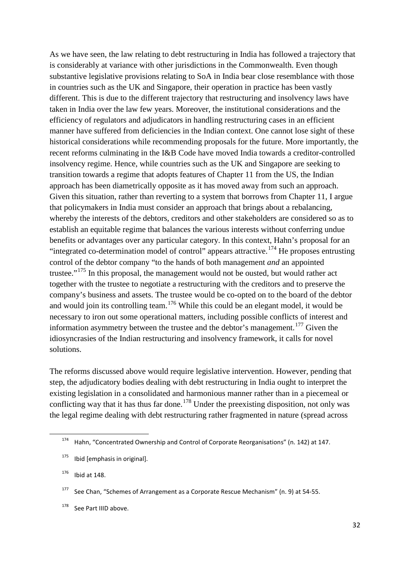As we have seen, the law relating to debt restructuring in India has followed a trajectory that is considerably at variance with other jurisdictions in the Commonwealth. Even though substantive legislative provisions relating to SoA in India bear close resemblance with those in countries such as the UK and Singapore, their operation in practice has been vastly different. This is due to the different trajectory that restructuring and insolvency laws have taken in India over the law few years. Moreover, the institutional considerations and the efficiency of regulators and adjudicators in handling restructuring cases in an efficient manner have suffered from deficiencies in the Indian context. One cannot lose sight of these historical considerations while recommending proposals for the future. More importantly, the recent reforms culminating in the I&B Code have moved India towards a creditor-controlled insolvency regime. Hence, while countries such as the UK and Singapore are seeking to transition towards a regime that adopts features of Chapter 11 from the US, the Indian approach has been diametrically opposite as it has moved away from such an approach. Given this situation, rather than reverting to a system that borrows from Chapter 11, I argue that policymakers in India must consider an approach that brings about a rebalancing, whereby the interests of the debtors, creditors and other stakeholders are considered so as to establish an equitable regime that balances the various interests without conferring undue benefits or advantages over any particular category. In this context, Hahn's proposal for an "integrated co-determination model of control" appears attractive.<sup>[174](#page-33-0)</sup> He proposes entrusting control of the debtor company "to the hands of both management *and* an appointed trustee."<sup>[175](#page-33-1)</sup> In this proposal, the management would not be ousted, but would rather act together with the trustee to negotiate a restructuring with the creditors and to preserve the company's business and assets. The trustee would be co-opted on to the board of the debtor and would join its controlling team.<sup>[176](#page-33-2)</sup> While this could be an elegant model, it would be necessary to iron out some operational matters, including possible conflicts of interest and information asymmetry between the trustee and the debtor's management.<sup>[177](#page-33-3)</sup> Given the idiosyncrasies of the Indian restructuring and insolvency framework, it calls for novel solutions.

The reforms discussed above would require legislative intervention. However, pending that step, the adjudicatory bodies dealing with debt restructuring in India ought to interpret the existing legislation in a consolidated and harmonious manner rather than in a piecemeal or conflicting way that it has thus far done.<sup>[178](#page-33-4)</sup> Under the preexisting disposition, not only was the legal regime dealing with debt restructuring rather fragmented in nature (spread across

<span id="page-33-0"></span> $174$  Hahn, "Concentrated Ownership and Control of Corporate Reorganisations" (n[. 142\)](#page-27-6) at 147.

<span id="page-33-1"></span> $175$  Ibid [emphasis in original].

<span id="page-33-2"></span> $176$  Ibid at 148.

<span id="page-33-3"></span><sup>&</sup>lt;sup>177</sup> See Chan, "Schemes of Arrangement as a Corporate Rescue Mechanism" (n. [9\)](#page-3-7) at 54-55.

<span id="page-33-4"></span><sup>&</sup>lt;sup>178</sup> See Part IIID above.